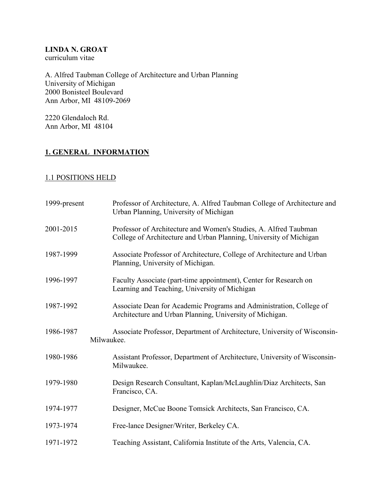#### **LINDA N. GROAT** curriculum vitae

A. Alfred Taubman College of Architecture and Urban Planning University of Michigan 2000 Bonisteel Boulevard Ann Arbor, MI 48109-2069

2220 Glendaloch Rd. Ann Arbor, MI 48104

# **1. GENERAL INFORMATION**

### 1.1 POSITIONS HELD

| 1999-present | Professor of Architecture, A. Alfred Taubman College of Architecture and<br>Urban Planning, University of Michigan                     |
|--------------|----------------------------------------------------------------------------------------------------------------------------------------|
| 2001-2015    | Professor of Architecture and Women's Studies, A. Alfred Taubman<br>College of Architecture and Urban Planning, University of Michigan |
| 1987-1999    | Associate Professor of Architecture, College of Architecture and Urban<br>Planning, University of Michigan.                            |
| 1996-1997    | Faculty Associate (part-time appointment), Center for Research on<br>Learning and Teaching, University of Michigan                     |
| 1987-1992    | Associate Dean for Academic Programs and Administration, College of<br>Architecture and Urban Planning, University of Michigan.        |
| 1986-1987    | Associate Professor, Department of Architecture, University of Wisconsin-<br>Milwaukee.                                                |
| 1980-1986    | Assistant Professor, Department of Architecture, University of Wisconsin-<br>Milwaukee.                                                |
| 1979-1980    | Design Research Consultant, Kaplan/McLaughlin/Diaz Architects, San<br>Francisco, CA.                                                   |
| 1974-1977    | Designer, McCue Boone Tomsick Architects, San Francisco, CA.                                                                           |
| 1973-1974    | Free-lance Designer/Writer, Berkeley CA.                                                                                               |
| 1971-1972    | Teaching Assistant, California Institute of the Arts, Valencia, CA.                                                                    |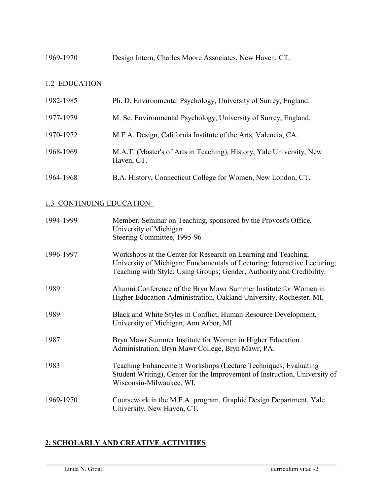1969-1970 Design Intern, Charles Moore Associates, New Haven, CT.

# 1.2 EDUCATION

| 1982-1985 | Ph. D. Environmental Psychology, University of Surrey, England.                    |
|-----------|------------------------------------------------------------------------------------|
| 1977-1979 | M. Sc. Environmental Psychology, University of Surrey, England.                    |
| 1970-1972 | M.F.A. Design, California Institute of the Arts, Valencia, CA.                     |
| 1968-1969 | M.A.T. (Master's of Arts in Teaching), History, Yale University, New<br>Haven, CT. |
| 1964-1968 | B.A. History, Connecticut College for Women, New London, CT.                       |

#### 1.3 CONTINUING EDUCATION

| 1994-1999 | Member, Seminar on Teaching, sponsored by the Provost's Office,<br>University of Michigan<br>Steering Committee, 1995-96                                                                                             |
|-----------|----------------------------------------------------------------------------------------------------------------------------------------------------------------------------------------------------------------------|
| 1996-1997 | Workshops at the Center for Research on Learning and Teaching,<br>University of Michigan: Fundamentals of Lecturing; Interactive Lecturing;<br>Teaching with Style; Using Groups; Gender, Authority and Credibility. |
| 1989      | Alumni Conference of the Bryn Mawr Summer Institute for Women in<br>Higher Education Administration, Oakland University, Rochester, MI.                                                                              |
| 1989      | Black and White Styles in Conflict, Human Resource Development,<br>University of Michigan, Ann Arbor, MI                                                                                                             |
| 1987      | Bryn Mawr Summer Institute for Women in Higher Education<br>Administration, Bryn Mawr College, Bryn Mawr, PA.                                                                                                        |
| 1983      | Teaching Enhancement Workshops (Lecture Techniques, Evaluating<br>Student Writing), Center for the Improvement of Instruction, University of<br>Wisconsin-Milwaukee, WI.                                             |
| 1969-1970 | Coursework in the M.F.A. program, Graphic Design Department, Yale<br>University, New Haven, CT.                                                                                                                      |

 $\_$  . The contribution of the contribution of the contribution of the contribution of the contribution of the contribution of the contribution of the contribution of the contribution of the contribution of the contributio

### **2. SCHOLARLY AND CREATIVE ACTIVITIES**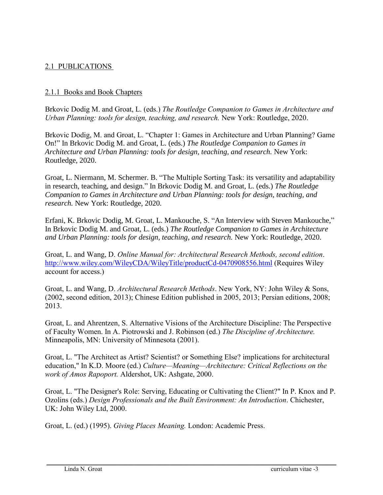### 2.1 PUBLICATIONS

#### 2.1.1 Books and Book Chapters

Brkovic Dodig M. and Groat, L. (eds.) *The Routledge Companion to Games in Architecture and Urban Planning: tools for design, teaching, and research.* New York: Routledge, 2020.

Brkovic Dodig, M. and Groat, L. "Chapter 1: Games in Architecture and Urban Planning? Game On!" In Brkovic Dodig M. and Groat, L. (eds.) *The Routledge Companion to Games in Architecture and Urban Planning: tools for design, teaching, and research.* New York: Routledge, 2020.

Groat, L. Niermann, M. Schermer. B. "The Multiple Sorting Task: its versatility and adaptability in research, teaching, and design." In Brkovic Dodig M. and Groat, L. (eds.) *The Routledge Companion to Games in Architecture and Urban Planning: tools for design, teaching, and research.* New York: Routledge, 2020.

Erfani, K. Brkovic Dodig, M. Groat, L. Mankouche, S. "An Interview with Steven Mankouche," In Brkovic Dodig M. and Groat, L. (eds.) *The Routledge Companion to Games in Architecture and Urban Planning: tools for design, teaching, and research.* New York: Routledge, 2020.

Groat, L. and Wang, D. *Online Manual for: Architectural Research Methods, second edition*. <http://www.wiley.com/WileyCDA/WileyTitle/productCd-0470908556.html> (Requires Wiley account for access.)

Groat, L. and Wang, D. *Architectural Research Methods*. New York, NY: John Wiley & Sons, (2002, second edition, 2013); Chinese Edition published in 2005, 2013; Persian editions, 2008; 2013.

Groat, L. and Ahrentzen, S. Alternative Visions of the Architecture Discipline: The Perspective of Faculty Women. In A. Piotrowski and J. Robinson (ed.) *The Discipline of Architecture.* Minneapolis, MN: University of Minnesota (2001).

Groat, L. "The Architect as Artist? Scientist? or Something Else? implications for architectural education," In K.D. Moore (ed.) *Culture—Meaning—Architecture: Critical Reflections on the work of Amos Rapoport.* Aldershot, UK: Ashgate, 2000.

Groat, L. "The Designer's Role: Serving, Educating or Cultivating the Client?" In P. Knox and P. Ozolins (eds.) *Design Professionals and the Built Environment: An Introduction*. Chichester, UK: John Wiley Ltd, 2000.

 $\_$  . The contribution of the contribution of the contribution of the contribution of the contribution of the contribution of the contribution of the contribution of the contribution of the contribution of the contributio

Groat, L. (ed.) (1995). *Giving Places Meaning.* London: Academic Press.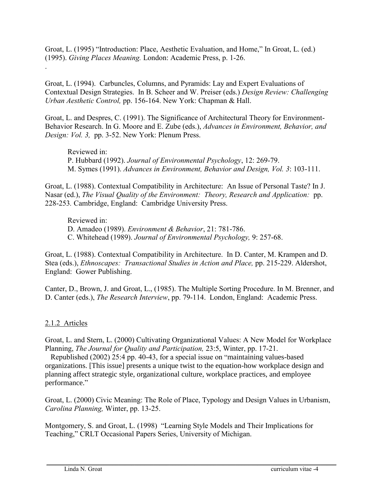Groat, L. (1995) "Introduction: Place, Aesthetic Evaluation, and Home," In Groat, L. (ed.) (1995). *Giving Places Meaning.* London: Academic Press, p. 1-26. .

Groat, L. (1994). Carbuncles, Columns, and Pyramids: Lay and Expert Evaluations of Contextual Design Strategies. In B. Scheer and W. Preiser (eds.) *Design Review: Challenging Urban Aesthetic Control,* pp. 156-164. New York: Chapman & Hall.

Groat, L. and Despres, C. (1991). The Significance of Architectural Theory for Environment-Behavior Research. In G. Moore and E. Zube (eds.), *Advances in Environment, Behavior, and Design: Vol. 3,* pp. 3-52. New York: Plenum Press.

Reviewed in: P. Hubbard (1992). *Journal of Environmental Psychology*, 12: 269-79. M. Symes (1991). *Advances in Environment, Behavior and Design, Vol. 3*: 103-111.

Groat, L. (1988). Contextual Compatibility in Architecture: An Issue of Personal Taste? In J. Nasar (ed.), *The Visual Quality of the Environment: Theory, Research and Application:* pp. 228-253*.* Cambridge, England: Cambridge University Press.

Reviewed in: D. Amadeo (1989). *Environment & Behavior*, 21: 781-786. C. Whitehead (1989). *Journal of Environmental Psychology,* 9: 257-68.

Groat, L. (1988). Contextual Compatibility in Architecture. In D. Canter, M. Krampen and D. Stea (eds.), *Ethnoscapes: Transactional Studies in Action and Place,* pp. 215-229. Aldershot, England: Gower Publishing.

Canter, D., Brown, J. and Groat, L., (1985). The Multiple Sorting Procedure. In M. Brenner, and D. Canter (eds.), *The Research Interview*, pp. 79-114. London, England: Academic Press.

#### 2.1.2 Articles

Groat, L. and Stern, L. (2000) Cultivating Organizational Values: A New Model for Workplace Planning, *The Journal for Quality and Participation,* 23:5, Winter, pp. 17-21.

 Republished (2002) 25:4 pp. 40-43, for a special issue on "maintaining values-based organizations. [This issue] presents a unique twist to the equation-how workplace design and planning affect strategic style, organizational culture, workplace practices, and employee performance."

Groat, L. (2000) Civic Meaning: The Role of Place, Typology and Design Values in Urbanism, *Carolina Planning,* Winter, pp. 13-25.

 $\_$  . The contribution of the contribution of the contribution of the contribution of the contribution of the contribution of the contribution of the contribution of the contribution of the contribution of the contributio

Montgomery, S. and Groat, L. (1998) "Learning Style Models and Their Implications for Teaching," CRLT Occasional Papers Series, University of Michigan.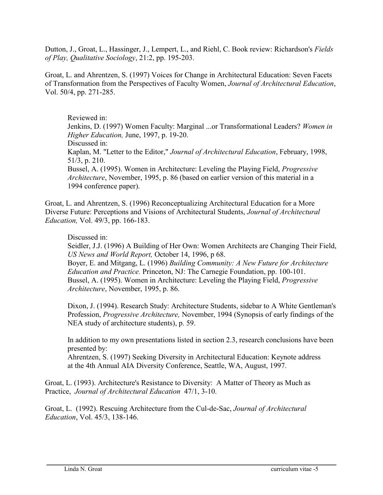Dutton, J., Groat, L., Hassinger, J., Lempert, L., and Riehl, C. Book review: Richardson's *Fields of Play, Qualitative Sociology*, 21:2, pp. 195-203.

Groat, L. and Ahrentzen, S. (1997) Voices for Change in Architectural Education: Seven Facets of Transformation from the Perspectives of Faculty Women, *Journal of Architectural Education*, Vol. 50/4, pp. 271-285.

Reviewed in: Jenkins, D. (1997) Women Faculty: Marginal ...or Transformational Leaders? *Women in Higher Education,* June, 1997, p. 19-20. Discussed in: Kaplan, M. "Letter to the Editor," *Journal of Architectural Education*, February, 1998, 51/3, p. 210. Bussel, A. (1995). Women in Architecture: Leveling the Playing Field, *Progressive Architecture*, November, 1995, p. 86 (based on earlier version of this material in a 1994 conference paper).

Groat, L. and Ahrentzen, S. (1996) Reconceptualizing Architectural Education for a More Diverse Future: Perceptions and Visions of Architectural Students, *Journal of Architectural Education,* Vol. 49/3, pp. 166-183.

#### Discussed in:

Seidler, J.J. (1996) A Building of Her Own: Women Architects are Changing Their Field, *US News and World Report,* October 14, 1996, p 68.

Boyer, E. and Mitgang, L. (1996) *Building Community: A New Future for Architecture Education and Practice.* Princeton, NJ: The Carnegie Foundation, pp. 100-101. Bussel, A. (1995). Women in Architecture: Leveling the Playing Field, *Progressive Architecture*, November, 1995, p. 86.

Dixon, J. (1994). Research Study: Architecture Students, sidebar to A White Gentleman's Profession, *Progressive Architecture,* November, 1994 (Synopsis of early findings of the NEA study of architecture students), p. 59.

In addition to my own presentations listed in section 2.3, research conclusions have been presented by:

Ahrentzen, S. (1997) Seeking Diversity in Architectural Education: Keynote address at the 4th Annual AIA Diversity Conference, Seattle, WA, August, 1997.

 $\_$  . The contribution of the contribution of the contribution of the contribution of the contribution of the contribution of the contribution of the contribution of the contribution of the contribution of the contributio

Groat, L. (1993). Architecture's Resistance to Diversity: A Matter of Theory as Much as Practice, *Journal of Architectural Education* 47/1, 3-10.

Groat, L. (1992). Rescuing Architecture from the Cul-de-Sac, *Journal of Architectural Education*, Vol. 45/3, 138-146.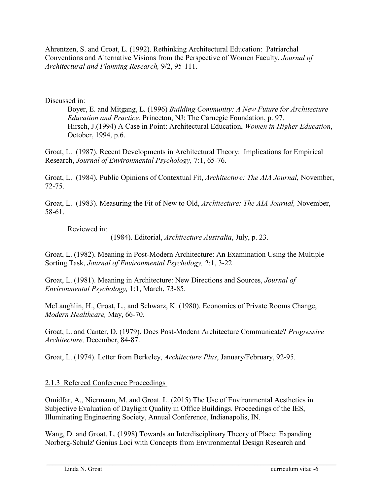Ahrentzen, S. and Groat, L. (1992). Rethinking Architectural Education: Patriarchal Conventions and Alternative Visions from the Perspective of Women Faculty, *Journal of Architectural and Planning Research,* 9/2, 95-111.

Discussed in:

Boyer, E. and Mitgang, L. (1996) *Building Community: A New Future for Architecture Education and Practice.* Princeton, NJ: The Carnegie Foundation, p. 97. Hirsch, J.(1994) A Case in Point: Architectural Education, *Women in Higher Education*, October, 1994, p.6.

Groat, L. (1987). Recent Developments in Architectural Theory: Implications for Empirical Research, *Journal of Environmental Psychology,* 7:1, 65-76.

Groat, L. (1984). Public Opinions of Contextual Fit, *Architecture: The AIA Journal,* November, 72-75.

Groat, L. (1983). Measuring the Fit of New to Old, *Architecture: The AIA Journal,* November, 58-61.

Reviewed in:

\_\_\_\_\_\_\_\_\_\_\_ (1984). Editorial, *Architecture Australia*, July, p. 23.

Groat, L. (1982). Meaning in Post-Modern Architecture: An Examination Using the Multiple Sorting Task, *Journal of Environmental Psychology,* 2:1, 3-22.

Groat, L. (1981). Meaning in Architecture: New Directions and Sources, *Journal of Environmental Psychology,* 1:1, March, 73-85.

McLaughlin, H., Groat, L., and Schwarz, K. (1980). Economics of Private Rooms Change, *Modern Healthcare,* May, 66-70.

Groat, L. and Canter, D. (1979). Does Post-Modern Architecture Communicate? *Progressive Architecture,* December, 84-87.

Groat, L. (1974). Letter from Berkeley, *Architecture Plus*, January/February, 92-95.

### 2.1.3 Refereed Conference Proceedings

Omidfar, A., Niermann, M. and Groat. L. (2015) The Use of Environmental Aesthetics in Subjective Evaluation of Daylight Quality in Office Buildings. Proceedings of the IES, Illuminating Engineering Society, Annual Conference, Indianapolis, IN.

Wang, D. and Groat, L. (1998) Towards an Interdisciplinary Theory of Place: Expanding Norberg-Schulz' Genius Loci with Concepts from Environmental Design Research and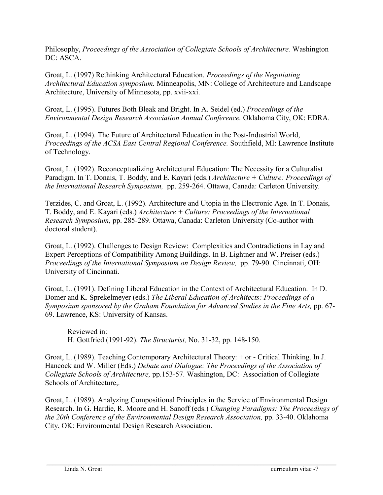Philosophy, *Proceedings of the Association of Collegiate Schools of Architecture.* Washington DC: ASCA.

Groat, L. (1997) Rethinking Architectural Education. *Proceedings of the Negotiating Architectural Education symposium.* Minneapolis, MN: College of Architecture and Landscape Architecture, University of Minnesota, pp. xvii-xxi.

Groat, L. (1995). Futures Both Bleak and Bright. In A. Seidel (ed.) *Proceedings of the Environmental Design Research Association Annual Conference.* Oklahoma City, OK: EDRA.

Groat, L. (1994). The Future of Architectural Education in the Post-Industrial World, *Proceedings of the ACSA East Central Regional Conference.* Southfield, MI: Lawrence Institute of Technology.

Groat, L. (1992). Reconceptualizing Architectural Education: The Necessity for a Culturalist Paradigm. In T. Donais, T. Boddy, and E. Kayari (eds.) *Architecture + Culture: Proceedings of the International Research Symposium,* pp. 259-264. Ottawa, Canada: Carleton University.

Terzides, C. and Groat, L. (1992). Architecture and Utopia in the Electronic Age. In T. Donais, T. Boddy, and E. Kayari (eds.) *Architecture + Culture: Proceedings of the International Research Symposium,* pp. 285-289. Ottawa, Canada: Carleton University (Co-author with doctoral student).

Groat, L. (1992). Challenges to Design Review: Complexities and Contradictions in Lay and Expert Perceptions of Compatibility Among Buildings. In B. Lightner and W. Preiser (eds.) *Proceedings of the International Symposium on Design Review,* pp. 79-90. Cincinnati, OH: University of Cincinnati.

Groat, L. (1991). Defining Liberal Education in the Context of Architectural Education. In D. Domer and K. Sprekelmeyer (eds.) *The Liberal Education of Architects: Proceedings of a Symposium sponsored by the Graham Foundation for Advanced Studies in the Fine Arts,* pp. 67- 69. Lawrence, KS: University of Kansas.

Reviewed in: H. Gottfried (1991-92). *The Structurist,* No. 31-32, pp. 148-150.

Groat, L. (1989). Teaching Contemporary Architectural Theory: + or - Critical Thinking. In J. Hancock and W. Miller (Eds.) *Debate and Dialogue: The Proceedings of the Association of Collegiate Schools of Architecture,* pp.153-57. Washington, DC: Association of Collegiate Schools of Architecture,.

Groat, L. (1989). Analyzing Compositional Principles in the Service of Environmental Design Research. In G. Hardie, R. Moore and H. Sanoff (eds.) *Changing Paradigms: The Proceedings of the 20th Conference of the Environmental Design Research Association,* pp. 33-40. Oklahoma City, OK: Environmental Design Research Association.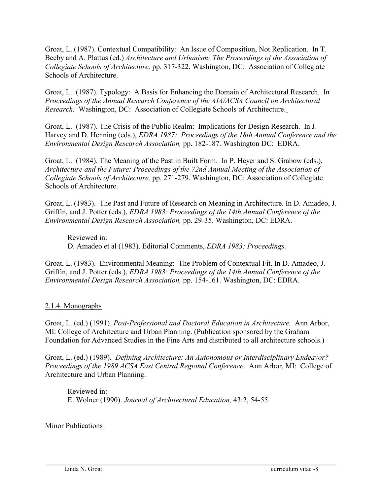Groat, L. (1987). Contextual Compatibility: An Issue of Composition, Not Replication. In T. Beeby and A. Plattus (ed.) *Architecture and Urbanism: The Proceedings of the Association of Collegiate Schools of Architecture,* pp. 317-322**.** Washington, DC: Association of Collegiate Schools of Architecture.

Groat, L. (1987). Typology: A Basis for Enhancing the Domain of Architectural Research. In *Proceedings of the Annual Research Conference of the AIA/ACSA Council on Architectural Research.* Washington, DC: Association of Collegiate Schools of Architecture.

Groat, L. (1987). The Crisis of the Public Realm: Implications for Design Research. In J. Harvey and D. Henning (eds.), *EDRA 1987: Proceedings of the 18th Annual Conference and the Environmental Design Research Association,* pp. 182-187. Washington DC: EDRA.

Groat, L. (1984). The Meaning of the Past in Built Form. In P. Heyer and S. Grabow (eds.), *Architecture and the Future: Proceedings of the 72nd Annual Meeting of the Association of Collegiate Schools of Architecture,* pp. 271-279. Washington, DC: Association of Collegiate Schools of Architecture.

Groat, L. (1983). The Past and Future of Research on Meaning in Architecture. In D. Amadeo, J. Griffin, and J. Potter (eds.), *EDRA 1983: Proceedings of the 14th Annual Conference of the Environmental Design Research Association,* pp. 29-35. Washington, DC: EDRA.

Reviewed in: D. Amadeo et al (1983). Editorial Comments, *EDRA 1983: Proceedings.*

Groat, L. (1983). Environmental Meaning: The Problem of Contextual Fit. In D. Amadeo, J. Griffin, and J. Potter (eds.), *EDRA 1983: Proceedings of the 14th Annual Conference of the Environmental Design Research Association,* pp. 154-161. Washington, DC: EDRA.

#### 2.1.4 Monographs

Groat, L. (ed.) (1991). *Post-Professional and Doctoral Education in Architecture.* Ann Arbor, MI: College of Architecture and Urban Planning. (Publication sponsored by the Graham Foundation for Advanced Studies in the Fine Arts and distributed to all architecture schools.)

Groat, L. (ed.) (1989). *Defining Architecture: An Autonomous or Interdisciplinary Endeavor? Proceedings of the 1989 ACSA East Central Regional Conference*. Ann Arbor, MI: College of Architecture and Urban Planning.

 $\_$  . The contribution of the contribution of the contribution of the contribution of the contribution of the contribution of the contribution of the contribution of the contribution of the contribution of the contributio

Reviewed in: E. Wolner (1990). *Journal of Architectural Education,* 43:2, 54-55.

#### Minor Publications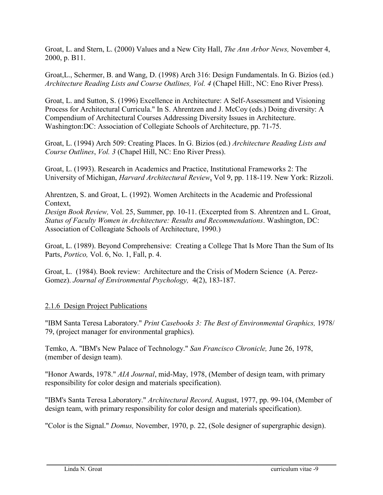Groat, L. and Stern, L. (2000) Values and a New City Hall, *The Ann Arbor News,* November 4, 2000, p. B11.

Groat,L., Schermer, B. and Wang, D. (1998) Arch 316: Design Fundamentals. In G. Bizios (ed.) *Architecture Reading Lists and Course Outlines, Vol. 4* (Chapel Hill:, NC: Eno River Press).

Groat, L. and Sutton, S. (1996) Excellence in Architecture: A Self-Assessment and Visioning Process for Architectural Curricula." In S. Ahrentzen and J. McCoy (eds.) Doing diversity: A Compendium of Architectural Courses Addressing Diversity Issues in Architecture. Washington:DC: Association of Collegiate Schools of Architecture, pp. 71-75.

Groat, L. (1994) Arch 509: Creating Places. In G. Bizios (ed.) *Architecture Reading Lists and Course Outlines*, *Vol. 3* (Chapel Hill, NC: Eno River Press).

Groat, L. (1993). Research in Academics and Practice, Institutional Frameworks 2: The University of Michigan, *Harvard Architectural Review*, Vol 9, pp. 118-119. New York: Rizzoli.

Ahrentzen, S. and Groat, L. (1992). Women Architects in the Academic and Professional Context,

*Design Book Review,* Vol. 25, Summer, pp. 10-11. (Excerpted from S. Ahrentzen and L. Groat, *Status of Faculty Women in Architecture: Results and Recommendations*. Washington, DC: Association of Colleagiate Schools of Architecture, 1990.)

Groat, L. (1989). Beyond Comprehensive: Creating a College That Is More Than the Sum of Its Parts, *Portico,* Vol. 6, No. 1, Fall, p. 4.

Groat, L. (1984). Book review: Architecture and the Crisis of Modern Science (A. Perez-Gomez). *Journal of Environmental Psychology,* 4(2), 183-187.

### 2.1.6 Design Project Publications

"IBM Santa Teresa Laboratory." *Print Casebooks 3: The Best of Environmental Graphics,* 1978/ 79, (project manager for environmental graphics).

Temko, A. "IBM's New Palace of Technology." *San Francisco Chronicle,* June 26, 1978, (member of design team).

"Honor Awards, 1978." *AIA Journal*, mid-May, 1978, (Member of design team, with primary responsibility for color design and materials specification).

"IBM's Santa Teresa Laboratory." *Architectural Record,* August, 1977, pp. 99-104, (Member of design team, with primary responsibility for color design and materials specification).

"Color is the Signal." *Domus,* November, 1970, p. 22, (Sole designer of supergraphic design).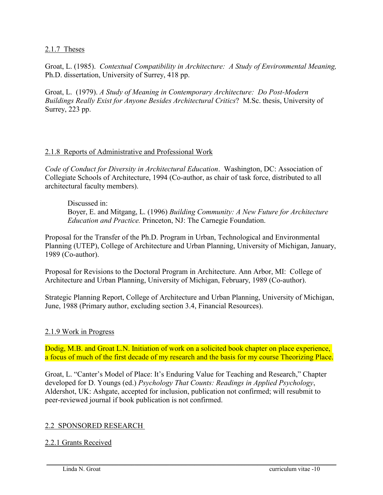2.1.7 Theses

Groat, L. (1985). *Contextual Compatibility in Architecture: A Study of Environmental Meaning,*  Ph.D. dissertation, University of Surrey, 418 pp.

Groat, L. (1979). *A Study of Meaning in Contemporary Architecture: Do Post-Modern Buildings Really Exist for Anyone Besides Architectural Critics*? M.Sc. thesis, University of Surrey, 223 pp.

#### 2.1.8 Reports of Administrative and Professional Work

*Code of Conduct for Diversity in Architectural Education*. Washington, DC: Association of Collegiate Schools of Architecture, 1994 (Co-author, as chair of task force, distributed to all architectural faculty members).

Discussed in: Boyer, E. and Mitgang, L. (1996) *Building Community: A New Future for Architecture Education and Practice.* Princeton, NJ: The Carnegie Foundation.

Proposal for the Transfer of the Ph.D. Program in Urban, Technological and Environmental Planning (UTEP), College of Architecture and Urban Planning, University of Michigan, January, 1989 (Co-author).

Proposal for Revisions to the Doctoral Program in Architecture. Ann Arbor, MI: College of Architecture and Urban Planning, University of Michigan, February, 1989 (Co-author).

Strategic Planning Report, College of Architecture and Urban Planning, University of Michigan, June, 1988 (Primary author, excluding section 3.4, Financial Resources).

#### 2.1.9 Work in Progress

Dodig, M.B. and Groat L.N. Initiation of work on a solicited book chapter on place experience, a focus of much of the first decade of my research and the basis for my course Theorizing Place.

Groat, L. "Canter's Model of Place: It's Enduring Value for Teaching and Research," Chapter developed for D. Youngs (ed.) *Psychology That Counts: Readings in Applied Psychology*, Aldershot, UK: Ashgate, accepted for inclusion, publication not confirmed; will resubmit to peer-reviewed journal if book publication is not confirmed.

 $\_$  . The contribution of the contribution of the contribution of the contribution of the contribution of the contribution of the contribution of the contribution of the contribution of the contribution of the contributio

#### 2.2 SPONSORED RESEARCH

#### 2.2.1 Grants Received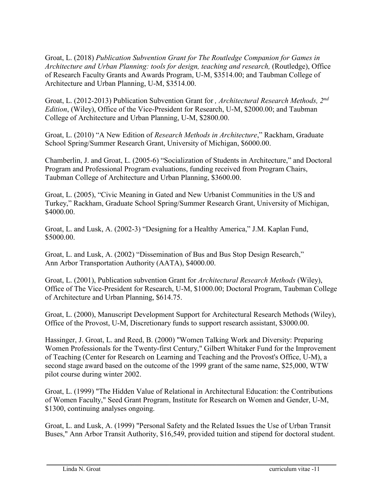Groat, L. (2018) *Publication Subvention Grant for The Routledge Companion for Games in Architecture and Urban Planning: tools for design, teaching and research,* (Routledge), Office of Research Faculty Grants and Awards Program, U-M, \$3514.00; and Taubman College of Architecture and Urban Planning, U-M, \$3514.00.

Groat, L. (2012-2013) Publication Subvention Grant for *, Architectural Research Methods, 2nd Edition*, (Wiley), Office of the Vice-President for Research, U-M, \$2000.00; and Taubman College of Architecture and Urban Planning, U-M, \$2800.00.

Groat, L. (2010) "A New Edition of *Research Methods in Architecture*," Rackham, Graduate School Spring/Summer Research Grant, University of Michigan, \$6000.00.

Chamberlin, J. and Groat, L. (2005-6) "Socialization of Students in Architecture," and Doctoral Program and Professional Program evaluations, funding received from Program Chairs, Taubman College of Architecture and Urban Planning, \$3600.00.

Groat, L. (2005), "Civic Meaning in Gated and New Urbanist Communities in the US and Turkey," Rackham, Graduate School Spring/Summer Research Grant, University of Michigan, \$4000.00.

Groat, L. and Lusk, A. (2002-3) "Designing for a Healthy America," J.M. Kaplan Fund, \$5000.00.

Groat, L. and Lusk, A. (2002) "Dissemination of Bus and Bus Stop Design Research," Ann Arbor Transportation Authority (AATA), \$4000.00.

Groat, L. (2001), Publication subvention Grant for *Architectural Research Methods* (Wiley), Office of The Vice-President for Research, U-M, \$1000.00; Doctoral Program, Taubman College of Architecture and Urban Planning, \$614.75.

Groat, L. (2000), Manuscript Development Support for Architectural Research Methods (Wiley), Office of the Provost, U-M, Discretionary funds to support research assistant, \$3000.00.

Hassinger, J. Groat, L. and Reed, B. (2000) "Women Talking Work and Diversity: Preparing Women Professionals for the Twenty-first Century," Gilbert Whitaker Fund for the Improvement of Teaching (Center for Research on Learning and Teaching and the Provost's Office, U-M), a second stage award based on the outcome of the 1999 grant of the same name, \$25,000, WTW pilot course during winter 2002.

Groat, L. (1999) "The Hidden Value of Relational in Architectural Education: the Contributions of Women Faculty," Seed Grant Program, Institute for Research on Women and Gender, U-M, \$1300, continuing analyses ongoing.

Groat, L. and Lusk, A. (1999) "Personal Safety and the Related Issues the Use of Urban Transit Buses," Ann Arbor Transit Authority, \$16,549, provided tuition and stipend for doctoral student.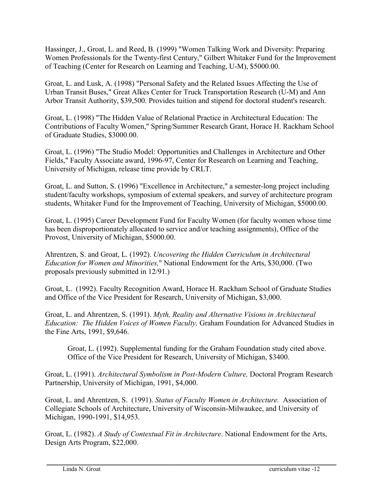Hassinger, J., Groat, L. and Reed, B. (1999) "Women Talking Work and Diversity: Preparing Women Professionals for the Twenty-first Century," Gilbert Whitaker Fund for the Improvement of Teaching (Center for Research on Learning and Teaching, U-M), \$5000.00.

Groat, L. and Lusk, A. (1998) "Personal Safety and the Related Issues Affecting the Use of Urban Transit Buses," Great Alkes Center for Truck Transportation Research (U-M) and Ann Arbor Transit Authority, \$39,500. Provides tuition and stipend for doctoral student's research.

Groat, L. (1998) "The Hidden Value of Relational Practice in Architectural Education: The Contributions of Faculty Women," Spring/Summer Research Grant, Horace H. Rackham School of Graduate Studies, \$3000.00.

Groat, L. (1996) "The Studio Model: Opportunities and Challenges in Architecture and Other Fields," Faculty Associate award, 1996-97, Center for Research on Learning and Teaching, University of Michigan, release time provide by CRLT.

Groat, L. and Sutton, S. (1996) "Excellence in Architecture," a semester-long project including student/faculty workshops, symposium of external speakers, and survey of architecture program students, Whitaker Fund for the Improvement of Teaching, University of Michigan, \$5000.00.

Groat, L. (1995) Career Development Fund for Faculty Women (for faculty women whose time has been disproportionately allocated to service and/or teaching assignments), Office of the Provost, University of Michigan, \$5000.00.

Ahrentzen, S. and Groat, L. (1992). *Uncovering the Hidden Curriculum in Architectural Education for Women and Minorities,*" National Endowment for the Arts, \$30,000. (Two proposals previously submitted in 12/91.)

Groat, L. (1992). Faculty Recognition Award, Horace H. Rackham School of Graduate Studies and Office of the Vice President for Research, University of Michigan, \$3,000.

Groat, L. and Ahrentzen, S. (1991). *Myth, Reality and Alternative Visions in Architectural Education: The Hidden Voices of Women Faculty,* Graham Foundation for Advanced Studies in the Fine Arts, 1991, \$9,646.

Groat, L. (1992). Supplemental funding for the Graham Foundation study cited above. Office of the Vice President for Research, University of Michigan, \$3400.

Groat, L. (1991). *Architectural Symbolism in Post-Modern Culture,* Doctoral Program Research Partnership, University of Michigan, 1991, \$4,000.

Groat, L. and Ahrentzen, S. (1991). *Status of Faculty Women in Architecture.* Association of Collegiate Schools of Architecture, University of Wisconsin-Milwaukee, and University of Michigan, 1990-1991, \$14,953.

Groat, L. (1982). *A Study of Contextual Fit in Architecture*. National Endowment for the Arts, Design Arts Program, \$22,000.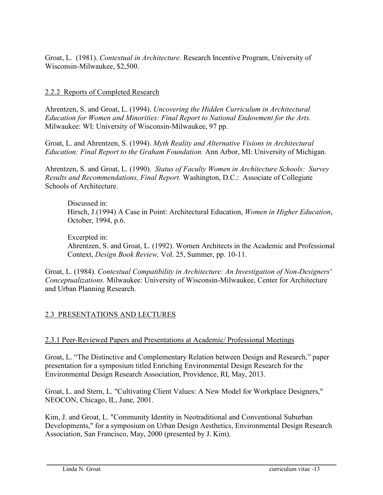Groat, L. (1981). *Contextual in Architecture.* Research Incentive Program, University of Wisconsin-Milwaukee, \$2,500.

#### 2.2.2 Reports of Completed Research

Ahrentzen, S. and Groat, L. (1994). *Uncovering the Hidden Curriculum in Architectural Education for Women and Minorities: Final Report to National Endowment for the Arts.* Milwaukee: WI: University of Wisconsin-Milwaukee, 97 pp.

Groat, L. and Ahrentzen, S. (1994). *Myth Reality and Alternative Visions in Architectural Education: Final Report to the Graham Foundation.* Ann Arbor, MI: University of Michigan.

Ahrentzen, S. and Groat, L. (1990). *Status of Faculty Women in Architecture Schools: Survey Results and Recommendations, Final Report.* Washington, D.C.: Associate of Collegiate Schools of Architecture.

Discussed in: Hirsch, J.(1994) A Case in Point: Architectural Education, *Women in Higher Education*, October, 1994, p.6.

Excerpted in: Ahrentzen, S. and Groat, L. (1992). Women Architects in the Academic and Professional Context, *Design Book Review,* Vol. 25, Summer, pp. 10-11.

Groat, L. (1984). *Contextual Compatibility in Architecture: An Investigation of Non-Designers' Conceptualizations.* Milwaukee: University of Wisconsin-Milwaukee, Center for Architecture and Urban Planning Research.

### 2.3 PRESENTATIONS AND LECTURES

#### 2.3.1 Peer-Reviewed Papers and Presentations at Academic/ Professional Meetings

Groat, L. "The Distinctive and Complementary Relation between Design and Research," paper presentation for a symposium titled Enriching Environmental Design Research for the Environmental Design Research Association, Providence, RI, May, 2013.

Groat, L. and Stern, L. "Cultivating Client Values: A New Model for Workplace Designers," NEOCON, Chicago, IL, June, 2001.

Kim, J. and Groat, L. "Community Identity in Neotraditional and Conventional Suburban Developments," for a symposium on Urban Design Aesthetics, Environmental Design Research Association, San Francisco, May, 2000 (presented by J. Kim).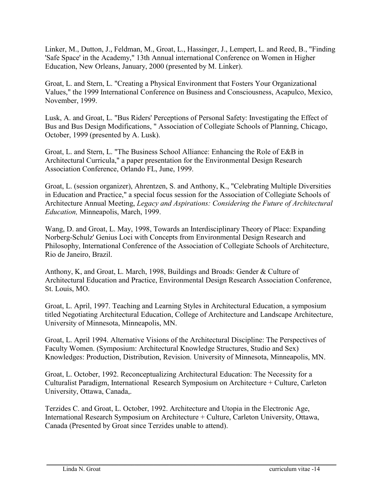Linker, M., Dutton, J., Feldman, M., Groat, L., Hassinger, J., Lempert, L. and Reed, B., "Finding 'Safe Space' in the Academy," 13th Annual international Conference on Women in Higher Education, New Orleans, January, 2000 (presented by M. Linker).

Groat, L. and Stern, L. "Creating a Physical Environment that Fosters Your Organizational Values," the 1999 International Conference on Business and Consciousness, Acapulco, Mexico, November, 1999.

Lusk, A. and Groat, L. "Bus Riders' Perceptions of Personal Safety: Investigating the Effect of Bus and Bus Design Modifications, " Association of Collegiate Schools of Planning, Chicago, October, 1999 (presented by A. Lusk).

Groat, L. and Stern, L. "The Business School Alliance: Enhancing the Role of E&B in Architectural Curricula," a paper presentation for the Environmental Design Research Association Conference, Orlando FL, June, 1999.

Groat, L. (session organizer), Ahrentzen, S. and Anthony, K., "Celebrating Multiple Diversities in Education and Practice," a special focus session for the Association of Collegiate Schools of Architecture Annual Meeting, *Legacy and Aspirations: Considering the Future of Architectural Education,* Minneapolis, March, 1999.

Wang, D. and Groat, L. May, 1998, Towards an Interdisciplinary Theory of Place: Expanding Norberg-Schulz' Genius Loci with Concepts from Environmental Design Research and Philosophy, International Conference of the Association of Collegiate Schools of Architecture, Rio de Janeiro, Brazil.

Anthony, K, and Groat, L. March, 1998, Buildings and Broads: Gender & Culture of Architectural Education and Practice, Environmental Design Research Association Conference, St. Louis, MO.

Groat, L. April, 1997. Teaching and Learning Styles in Architectural Education, a symposium titled Negotiating Architectural Education, College of Architecture and Landscape Architecture, University of Minnesota, Minneapolis, MN.

Groat, L. April 1994. Alternative Visions of the Architectural Discipline: The Perspectives of Faculty Women. (Symposium: Architectural Knowledge Structures, Studio and Sex) Knowledges: Production, Distribution, Revision. University of Minnesota, Minneapolis, MN.

Groat, L. October, 1992. Reconceptualizing Architectural Education: The Necessity for a Culturalist Paradigm, International Research Symposium on Architecture + Culture, Carleton University, Ottawa, Canada,.

Terzides C. and Groat, L. October, 1992. Architecture and Utopia in the Electronic Age, International Research Symposium on Architecture + Culture, Carleton University, Ottawa, Canada (Presented by Groat since Terzides unable to attend).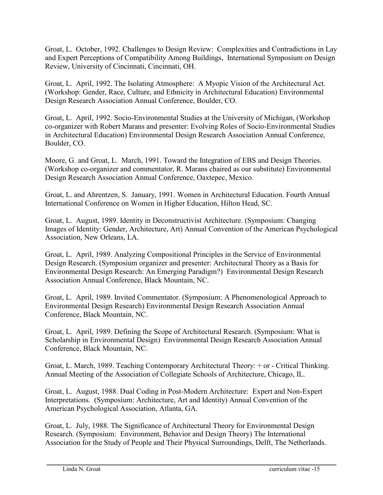Groat, L. October, 1992. Challenges to Design Review: Complexities and Contradictions in Lay and Expert Perceptions of Compatibility Among Buildings, International Symposium on Design Review, University of Cincinnati, Cincinnati, OH.

Groat, L. April, 1992. The Isolating Atmosphere: A Myopic Vision of the Architectural Act. (Workshop: Gender, Race, Culture, and Ethnicity in Architectural Education) Environmental Design Research Association Annual Conference, Boulder, CO.

Groat, L. April, 1992. Socio-Environmental Studies at the University of Michigan, (Workshop co-organizer with Robert Marans and presenter: Evolving Roles of Socio-Environmental Studies in Architectural Education) Environmental Design Research Association Annual Conference, Boulder, CO.

Moore, G. and Groat, L. March, 1991. Toward the Integration of EBS and Design Theories. (Workshop co-organizer and commentator, R. Marans chaired as our substitute) Environmental Design Research Association Annual Conference, Oaxtepec, Mexico.

Groat, L. and Ahrentzen, S. January, 1991. Women in Architectural Education. Fourth Annual International Conference on Women in Higher Education, Hilton Head, SC.

Groat, L. August, 1989. Identity in Deconstructivist Architecture. (Symposium: Changing Images of Identity: Gender, Architecture, Art) Annual Convention of the American Psychological Association, New Orleans, LA.

Groat, L. April, 1989. Analyzing Compositional Principles in the Service of Environmental Design Research. (Symposium organizer and presenter: Architectural Theory as a Basis for Environmental Design Research: An Emerging Paradigm?) Environmental Design Research Association Annual Conference, Black Mountain, NC.

Groat, L. April, 1989. Invited Commentator. (Symposium: A Phenomenological Approach to Environmental Design Research) Environmental Design Research Association Annual Conference, Black Mountain, NC.

Groat, L. April, 1989. Defining the Scope of Architectural Research. (Symposium: What is Scholarship in Environmental Design) Environmental Design Research Association Annual Conference, Black Mountain, NC.

Groat, L. March, 1989. Teaching Contemporary Architectural Theory: + or - Critical Thinking. Annual Meeting of the Association of Collegiate Schools of Architecture, Chicago, IL.

Groat, L. August, 1988. Dual Coding in Post-Modern Architecture: Expert and Non-Expert Interpretations. (Symposium: Architecture, Art and Identity) Annual Convention of the American Psychological Association, Atlanta, GA.

Groat, L. July, 1988. The Significance of Architectural Theory for Environmental Design Research. (Symposium: Environment, Behavior and Design Theory) The International Association for the Study of People and Their Physical Surroundings, Delft, The Netherlands.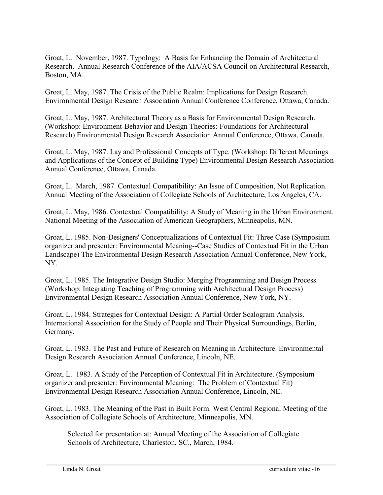Groat, L. November, 1987. Typology: A Basis for Enhancing the Domain of Architectural Research. Annual Research Conference of the AIA/ACSA Council on Architectural Research, Boston, MA.

Groat, L. May, 1987. The Crisis of the Public Realm: Implications for Design Research. Environmental Design Research Association Annual Conference Conference, Ottawa, Canada.

Groat, L. May, 1987. Architectural Theory as a Basis for Environmental Design Research. (Workshop: Environment-Behavior and Design Theories: Foundations for Architectural Research) Environmental Design Research Association Annual Conference, Ottawa, Canada.

Groat, L. May, 1987. Lay and Professional Concepts of Type. (Workshop: Different Meanings and Applications of the Concept of Building Type) Environmental Design Research Association Annual Conference, Ottawa, Canada.

Groat, L. March, 1987. Contextual Compatibility: An Issue of Composition, Not Replication. Annual Meeting of the Association of Collegiate Schools of Architecture, Los Angeles, CA.

Groat, L. May, 1986. Contextual Compatibility: A Study of Meaning in the Urban Environment. National Meeting of the Association of American Geographers, Minneapolis, MN.

Groat, L. 1985. Non-Designers' Conceptualizations of Contextual Fit: Three Case (Symposium organizer and presenter: Environmental Meaning--Case Studies of Contextual Fit in the Urban Landscape) The Environmental Design Research Association Annual Conference, New York, NY.

Groat, L. 1985. The Integrative Design Studio: Merging Programming and Design Process. (Workshop: Integrating Teaching of Programming with Architectural Design Process) Environmental Design Research Association Annual Conference, New York, NY.

Groat, L. 1984. Strategies for Contextual Design: A Partial Order Scalogram Analysis. International Association for the Study of People and Their Physical Surroundings, Berlin, Germany.

Groat, L. 1983. The Past and Future of Research on Meaning in Architecture. Environmental Design Research Association Annual Conference, Lincoln, NE.

Groat, L. 1983. A Study of the Perception of Contextual Fit in Architecture. (Symposium organizer and presenter: Environmental Meaning: The Problem of Contextual Fit) Environmental Design Research Association Annual Conference, Lincoln, NE.

Groat, L. 1983. The Meaning of the Past in Built Form. West Central Regional Meeting of the Association of Collegiate Schools of Architecture, Minneapolis, MN.

Selected for presentation at: Annual Meeting of the Association of Collegiate Schools of Architecture, Charleston, SC., March, 1984.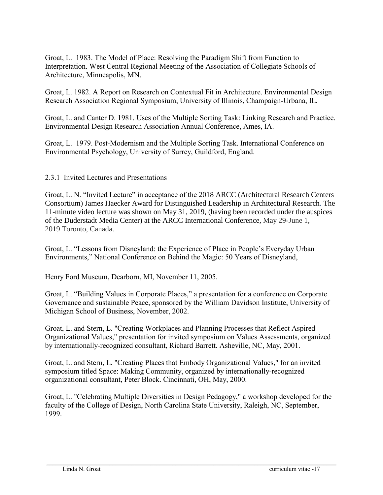Groat, L. 1983. The Model of Place: Resolving the Paradigm Shift from Function to Interpretation. West Central Regional Meeting of the Association of Collegiate Schools of Architecture, Minneapolis, MN.

Groat, L. 1982. A Report on Research on Contextual Fit in Architecture. Environmental Design Research Association Regional Symposium, University of Illinois, Champaign-Urbana, IL.

Groat, L. and Canter D. 1981. Uses of the Multiple Sorting Task: Linking Research and Practice. Environmental Design Research Association Annual Conference, Ames, IA.

Groat, L. 1979. Post-Modernism and the Multiple Sorting Task. International Conference on Environmental Psychology, University of Surrey, Guildford, England.

### 2.3.1 Invited Lectures and Presentations

Groat, L. N. "Invited Lecture" in acceptance of the 2018 ARCC (Architectural Research Centers Consortium) James Haecker Award for Distinguished Leadership in Architectural Research. The 11-minute video lecture was shown on May 31, 2019, (having been recorded under the auspices of the Duderstadt Media Center) at the ARCC International Conference, May 29-June 1, 2019 Toronto, Canada.

Groat, L. "Lessons from Disneyland: the Experience of Place in People's Everyday Urban Environments," National Conference on Behind the Magic: 50 Years of Disneyland,

Henry Ford Museum, Dearborn, MI, November 11, 2005.

Groat, L. "Building Values in Corporate Places," a presentation for a conference on Corporate Governance and sustainable Peace, sponsored by the William Davidson Institute, University of Michigan School of Business, November, 2002.

Groat, L. and Stern, L. "Creating Workplaces and Planning Processes that Reflect Aspired Organizational Values," presentation for invited symposium on Values Assessments, organized by internationally-recognized consultant, Richard Barrett. Asheville, NC, May, 2001.

Groat, L. and Stern, L. "Creating Places that Embody Organizational Values," for an invited symposium titled Space: Making Community, organized by internationally-recognized organizational consultant, Peter Block. Cincinnati, OH, May, 2000.

Groat, L. "Celebrating Multiple Diversities in Design Pedagogy," a workshop developed for the faculty of the College of Design, North Carolina State University, Raleigh, NC, September, 1999.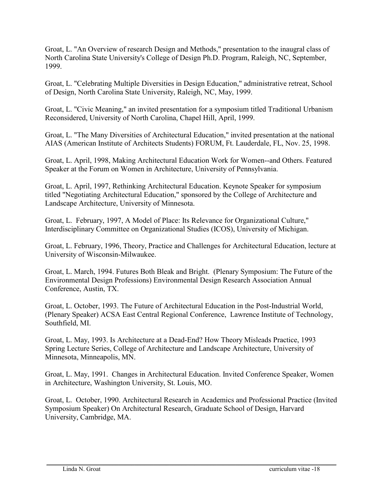Groat, L. "An Overview of research Design and Methods," presentation to the inaugral class of North Carolina State University's College of Design Ph.D. Program, Raleigh, NC, September, 1999.

Groat, L. "Celebrating Multiple Diversities in Design Education," administrative retreat, School of Design, North Carolina State University, Raleigh, NC, May, 1999.

Groat, L. "Civic Meaning," an invited presentation for a symposium titled Traditional Urbanism Reconsidered, University of North Carolina, Chapel Hill, April, 1999.

Groat, L. "The Many Diversities of Architectural Education," invited presentation at the national AIAS (American Institute of Architects Students) FORUM, Ft. Lauderdale, FL, Nov. 25, 1998.

Groat, L. April, 1998, Making Architectural Education Work for Women--and Others. Featured Speaker at the Forum on Women in Architecture, University of Pennsylvania.

Groat, L. April, 1997, Rethinking Architectural Education. Keynote Speaker for symposium titled "Negotiating Architectural Education," sponsored by the College of Architecture and Landscape Architecture, University of Minnesota.

Groat, L. February, 1997, A Model of Place: Its Relevance for Organizational Culture," Interdisciplinary Committee on Organizational Studies (ICOS), University of Michigan.

Groat, L. February, 1996, Theory, Practice and Challenges for Architectural Education, lecture at University of Wisconsin-Milwaukee.

Groat, L. March, 1994. Futures Both Bleak and Bright. (Plenary Symposium: The Future of the Environmental Design Professions) Environmental Design Research Association Annual Conference, Austin, TX.

Groat, L. October, 1993. The Future of Architectural Education in the Post-Industrial World, (Plenary Speaker) ACSA East Central Regional Conference, Lawrence Institute of Technology, Southfield, MI.

Groat, L. May, 1993. Is Architecture at a Dead-End? How Theory Misleads Practice, 1993 Spring Lecture Series, College of Architecture and Landscape Architecture, University of Minnesota, Minneapolis, MN.

Groat, L. May, 1991. Changes in Architectural Education. Invited Conference Speaker, Women in Architecture, Washington University, St. Louis, MO.

Groat, L. October, 1990. Architectural Research in Academics and Professional Practice (Invited Symposium Speaker) On Architectural Research, Graduate School of Design, Harvard University, Cambridge, MA.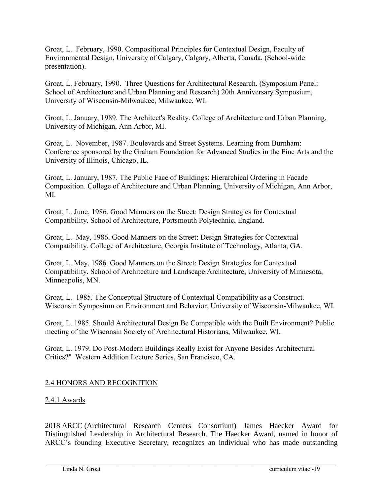Groat, L. February, 1990. Compositional Principles for Contextual Design, Faculty of Environmental Design, University of Calgary, Calgary, Alberta, Canada, (School-wide presentation).

Groat, L. February, 1990. Three Questions for Architectural Research. (Symposium Panel: School of Architecture and Urban Planning and Research) 20th Anniversary Symposium, University of Wisconsin-Milwaukee, Milwaukee, WI.

Groat, L. January, 1989. The Architect's Reality. College of Architecture and Urban Planning, University of Michigan, Ann Arbor, MI.

Groat, L. November, 1987. Boulevards and Street Systems. Learning from Burnham: Conference sponsored by the Graham Foundation for Advanced Studies in the Fine Arts and the University of Illinois, Chicago, IL.

Groat, L. January, 1987. The Public Face of Buildings: Hierarchical Ordering in Facade Composition. College of Architecture and Urban Planning, University of Michigan, Ann Arbor, MI.

Groat, L. June, 1986. Good Manners on the Street: Design Strategies for Contextual Compatibility. School of Architecture, Portsmouth Polytechnic, England.

Groat, L. May, 1986. Good Manners on the Street: Design Strategies for Contextual Compatibility. College of Architecture, Georgia Institute of Technology, Atlanta, GA.

Groat, L. May, 1986. Good Manners on the Street: Design Strategies for Contextual Compatibility. School of Architecture and Landscape Architecture, University of Minnesota, Minneapolis, MN.

Groat, L. 1985. The Conceptual Structure of Contextual Compatibility as a Construct. Wisconsin Symposium on Environment and Behavior, University of Wisconsin-Milwaukee, WI.

Groat, L. 1985. Should Architectural Design Be Compatible with the Built Environment? Public meeting of the Wisconsin Society of Architectural Historians, Milwaukee, WI.

Groat, L. 1979. Do Post-Modern Buildings Really Exist for Anyone Besides Architectural Critics?" Western Addition Lecture Series, San Francisco, CA.

### 2.4 HONORS AND RECOGNITION

### 2.4.1 Awards

2018 ARCC (Architectural Research Centers Consortium) James Haecker Award for Distinguished Leadership in Architectural Research. The Haecker Award, named in honor of ARCC's founding Executive Secretary, recognizes an individual who has made outstanding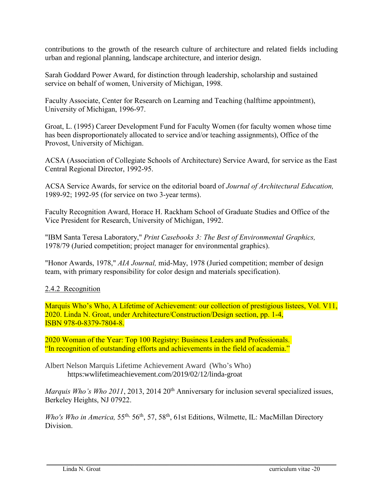contributions to the growth of the research culture of architecture and related fields including urban and regional planning, landscape architecture, and interior design.

Sarah Goddard Power Award, for distinction through leadership, scholarship and sustained service on behalf of women, University of Michigan, 1998.

Faculty Associate, Center for Research on Learning and Teaching (halftime appointment), University of Michigan, 1996-97.

Groat, L. (1995) Career Development Fund for Faculty Women (for faculty women whose time has been disproportionately allocated to service and/or teaching assignments), Office of the Provost, University of Michigan.

ACSA (Association of Collegiate Schools of Architecture) Service Award, for service as the East Central Regional Director, 1992-95.

ACSA Service Awards, for service on the editorial board of *Journal of Architectural Education,*  1989-92; 1992-95 (for service on two 3-year terms).

Faculty Recognition Award, Horace H. Rackham School of Graduate Studies and Office of the Vice President for Research, University of Michigan, 1992.

"IBM Santa Teresa Laboratory," *Print Casebooks 3: The Best of Environmental Graphics,*  1978/79 (Juried competition; project manager for environmental graphics).

"Honor Awards, 1978," *AIA Journal,* mid-May, 1978 (Juried competition; member of design team, with primary responsibility for color design and materials specification).

2.4.2 Recognition

Marquis Who's Who, A Lifetime of Achievement: our collection of prestigious listees, Vol. V11, 2020. Linda N. Groat, under Architecture/Construction/Design section, pp. 1-4, ISBN 978-0-8379-7804-8.

2020 Woman of the Year: Top 100 Registry: Business Leaders and Professionals. "In recognition of outstanding efforts and achievements in the field of academia."

Albert Nelson Marquis Lifetime Achievement Award (Who's Who) https:wwlifetimeachievement.com/2019/02/12/linda-groat

*Marquis Who's Who 2011*, 2013, 2014 20th Anniversary for inclusion several specialized issues, Berkeley Heights, NJ 07922.

*Who's Who in America,* 55<sup>th,</sup> 56<sup>th</sup>, 57, 58<sup>th</sup>, 61st Editions, Wilmette, IL: MacMillan Directory Division.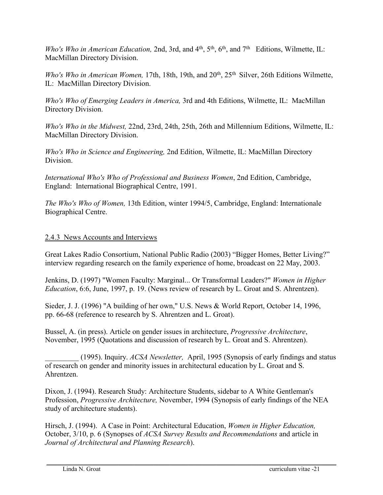*Who's Who in American Education, 2nd, 3rd, and 4<sup>th</sup>, 5<sup>th</sup>, 6<sup>th</sup>, and 7<sup>th</sup> Editions, Wilmette, IL:* MacMillan Directory Division.

*Who's Who in American Women,* 17th, 18th, 19th, and 20<sup>th</sup>, 25<sup>th</sup> Silver, 26th Editions Wilmette, IL: MacMillan Directory Division.

*Who's Who of Emerging Leaders in America,* 3rd and 4th Editions, Wilmette, IL: MacMillan Directory Division.

*Who's Who in the Midwest,* 22nd, 23rd, 24th, 25th, 26th and Millennium Editions, Wilmette, IL: MacMillan Directory Division.

*Who's Who in Science and Engineering,* 2nd Edition, Wilmette, IL: MacMillan Directory Division.

*International Who's Who of Professional and Business Women*, 2nd Edition, Cambridge, England: International Biographical Centre, 1991.

*The Who's Who of Women,* 13th Edition, winter 1994/5, Cambridge, England: Internationale Biographical Centre.

### 2.4.3 News Accounts and Interviews

Great Lakes Radio Consortium, National Public Radio (2003) "Bigger Homes, Better Living?" interview regarding research on the family experience of home, broadcast on 22 May, 2003.

Jenkins, D. (1997) "Women Faculty: Marginal... Or Transformal Leaders?" *Women in Higher Education*, 6:6, June, 1997, p. 19. (News review of research by L. Groat and S. Ahrentzen).

Sieder, J. J. (1996) "A building of her own," U.S. News & World Report, October 14, 1996, pp. 66-68 (reference to research by S. Ahrentzen and L. Groat).

Bussel, A. (in press). Article on gender issues in architecture, *Progressive Architecture*, November, 1995 (Quotations and discussion of research by L. Groat and S. Ahrentzen).

\_\_\_\_\_\_\_\_\_ (1995). Inquiry. *ACSA Newsletter,* April, 1995 (Synopsis of early findings and status of research on gender and minority issues in architectural education by L. Groat and S. Ahrentzen.

Dixon, J. (1994). Research Study: Architecture Students, sidebar to A White Gentleman's Profession, *Progressive Architecture,* November, 1994 (Synopsis of early findings of the NEA study of architecture students).

Hirsch, J. (1994). A Case in Point: Architectural Education, *Women in Higher Education,*  October, 3/10, p. 6 (Synopses of *ACSA Survey Results and Recommendations* and article in *Journal of Architectural and Planning Research*).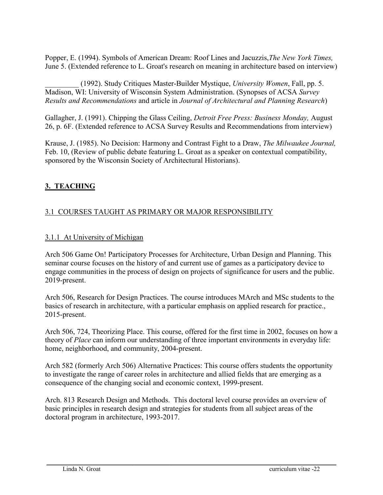Popper, E. (1994). Symbols of American Dream: Roof Lines and Jacuzzis,*The New York Times,* June 5. (Extended reference to L. Groat's research on meaning in architecture based on interview)

\_\_\_\_\_\_\_\_\_ (1992). Study Critiques Master-Builder Mystique, *University Women*, Fall, pp. 5. Madison, WI: University of Wisconsin System Administration. (Synopses of ACSA *Survey Results and Recommendations* and article in *Journal of Architectural and Planning Research*)

Gallagher, J. (1991). Chipping the Glass Ceiling, *Detroit Free Press: Business Monday,* August 26, p. 6F. (Extended reference to ACSA Survey Results and Recommendations from interview)

Krause, J. (1985). No Decision: Harmony and Contrast Fight to a Draw, *The Milwaukee Journal,* Feb. 10, (Review of public debate featuring L. Groat as a speaker on contextual compatibility, sponsored by the Wisconsin Society of Architectural Historians).

# **3. TEACHING**

# 3.1 COURSES TAUGHT AS PRIMARY OR MAJOR RESPONSIBILITY

### 3.1.1 At University of Michigan

Arch 506 Game On! Participatory Processes for Architecture, Urban Design and Planning. This seminar course focuses on the history of and current use of games as a participatory device to engage communities in the process of design on projects of significance for users and the public. 2019-present.

Arch 506, Research for Design Practices. The course introduces MArch and MSc students to the basics of research in architecture, with a particular emphasis on applied research for practice., 2015-present.

Arch 506, 724, Theorizing Place. This course, offered for the first time in 2002, focuses on how a theory of *Place* can inform our understanding of three important environments in everyday life: home, neighborhood, and community, 2004-present.

Arch 582 (formerly Arch 506) Alternative Practices: This course offers students the opportunity to investigate the range of career roles in architecture and allied fields that are emerging as a consequence of the changing social and economic context, 1999-present.

Arch. 813 Research Design and Methods. This doctoral level course provides an overview of basic principles in research design and strategies for students from all subject areas of the doctoral program in architecture, 1993-2017.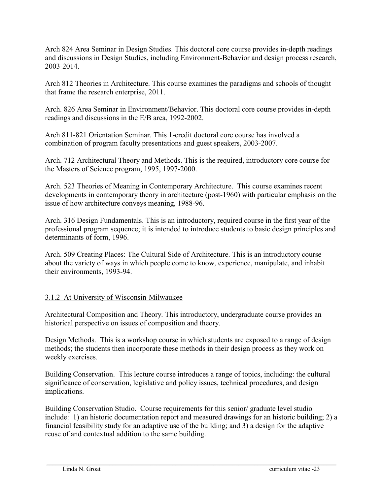Arch 824 Area Seminar in Design Studies. This doctoral core course provides in-depth readings and discussions in Design Studies, including Environment-Behavior and design process research, 2003-2014.

Arch 812 Theories in Architecture. This course examines the paradigms and schools of thought that frame the research enterprise, 2011.

Arch. 826 Area Seminar in Environment/Behavior. This doctoral core course provides in-depth readings and discussions in the E/B area, 1992-2002.

Arch 811-821 Orientation Seminar. This 1-credit doctoral core course has involved a combination of program faculty presentations and guest speakers, 2003-2007.

Arch. 712 Architectural Theory and Methods. This is the required, introductory core course for the Masters of Science program, 1995, 1997-2000.

Arch. 523 Theories of Meaning in Contemporary Architecture. This course examines recent developments in contemporary theory in architecture (post-1960) with particular emphasis on the issue of how architecture conveys meaning, 1988-96.

Arch. 316 Design Fundamentals. This is an introductory, required course in the first year of the professional program sequence; it is intended to introduce students to basic design principles and determinants of form, 1996.

Arch. 509 Creating Places: The Cultural Side of Architecture. This is an introductory course about the variety of ways in which people come to know, experience, manipulate, and inhabit their environments, 1993-94.

### 3.1.2 At University of Wisconsin-Milwaukee

Architectural Composition and Theory. This introductory, undergraduate course provides an historical perspective on issues of composition and theory.

Design Methods. This is a workshop course in which students are exposed to a range of design methods; the students then incorporate these methods in their design process as they work on weekly exercises.

Building Conservation. This lecture course introduces a range of topics, including: the cultural significance of conservation, legislative and policy issues, technical procedures, and design implications.

Building Conservation Studio. Course requirements for this senior/ graduate level studio include: 1) an historic documentation report and measured drawings for an historic building; 2) a financial feasibility study for an adaptive use of the building; and 3) a design for the adaptive reuse of and contextual addition to the same building.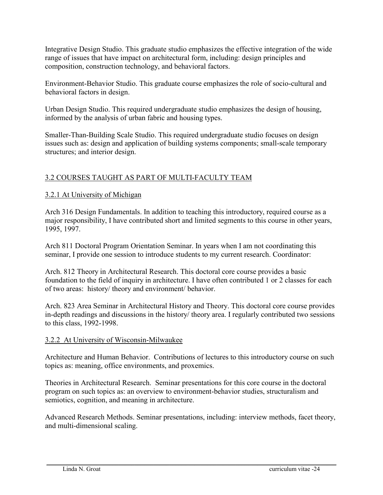Integrative Design Studio. This graduate studio emphasizes the effective integration of the wide range of issues that have impact on architectural form, including: design principles and composition, construction technology, and behavioral factors.

Environment-Behavior Studio. This graduate course emphasizes the role of socio-cultural and behavioral factors in design.

Urban Design Studio. This required undergraduate studio emphasizes the design of housing, informed by the analysis of urban fabric and housing types.

Smaller-Than-Building Scale Studio. This required undergraduate studio focuses on design issues such as: design and application of building systems components; small-scale temporary structures; and interior design.

# 3.2 COURSES TAUGHT AS PART OF MULTI-FACULTY TEAM

# 3.2.1 At University of Michigan

Arch 316 Design Fundamentals. In addition to teaching this introductory, required course as a major responsibility, I have contributed short and limited segments to this course in other years, 1995, 1997.

Arch 811 Doctoral Program Orientation Seminar. In years when I am not coordinating this seminar, I provide one session to introduce students to my current research. Coordinator:

Arch. 812 Theory in Architectural Research. This doctoral core course provides a basic foundation to the field of inquiry in architecture. I have often contributed 1 or 2 classes for each of two areas: history/ theory and environment/ behavior.

Arch. 823 Area Seminar in Architectural History and Theory. This doctoral core course provides in-depth readings and discussions in the history/ theory area. I regularly contributed two sessions to this class, 1992-1998.

### 3.2.2 At University of Wisconsin-Milwaukee

Architecture and Human Behavior. Contributions of lectures to this introductory course on such topics as: meaning, office environments, and proxemics.

Theories in Architectural Research. Seminar presentations for this core course in the doctoral program on such topics as: an overview to environment-behavior studies, structuralism and semiotics, cognition, and meaning in architecture.

Advanced Research Methods. Seminar presentations, including: interview methods, facet theory, and multi-dimensional scaling.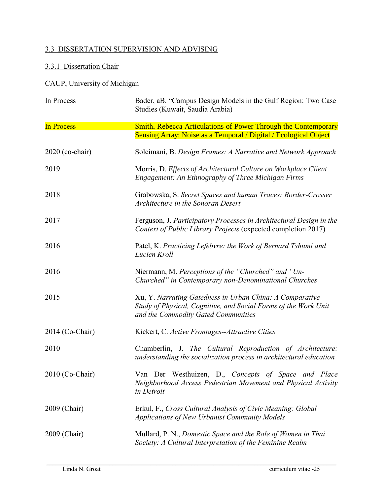# 3.3 DISSERTATION SUPERVISION AND ADVISING

# 3.3.1 Dissertation Chair

CAUP, University of Michigan

| In Process        | Bader, aB. "Campus Design Models in the Gulf Region: Two Case<br>Studies (Kuwait, Saudia Arabia)                                                                   |
|-------------------|--------------------------------------------------------------------------------------------------------------------------------------------------------------------|
| <b>In Process</b> | Smith, Rebecca Articulations of Power Through the Contemporary<br>Sensing Array: Noise as a Temporal / Digital / Ecological Object                                 |
| 2020 (co-chair)   | Soleimani, B. Design Frames: A Narrative and Network Approach                                                                                                      |
| 2019              | Morris, D. Effects of Architectural Culture on Workplace Client<br><b>Engagement: An Ethnography of Three Michigan Firms</b>                                       |
| 2018              | Grabowska, S. Secret Spaces and human Traces: Border-Crosser<br>Architecture in the Sonoran Desert                                                                 |
| 2017              | Ferguson, J. Participatory Processes in Architectural Design in the<br>Context of Public Library Projects (expected completion 2017)                               |
| 2016              | Patel, K. Practicing Lefebvre: the Work of Bernard Tshumi and<br>Lucien Kroll                                                                                      |
| 2016              | Niermann, M. Perceptions of the "Churched" and "Un-<br>Churched" in Contemporary non-Denominational Churches                                                       |
| 2015              | Xu, Y. Narrating Gatedness in Urban China: A Comparative<br>Study of Physical, Cognitive, and Social Forms of the Work Unit<br>and the Commodity Gated Communities |
| 2014 (Co-Chair)   | Kickert, C. Active Frontages--Attractive Cities                                                                                                                    |
| 2010              | Chamberlin, J. The Cultural Reproduction of Architecture:<br>understanding the socialization process in architectural education                                    |
| $2010$ (Co-Chair) | Van Der Westhuizen, D., Concepts of Space and Place<br>Neighborhood Access Pedestrian Movement and Physical Activity<br>in Detroit                                 |
| 2009 (Chair)      | Erkul, F., Cross Cultural Analysis of Civic Meaning: Global<br>Applications of New Urbanist Community Models                                                       |
| 2009 (Chair)      | Mullard, P. N., Domestic Space and the Role of Women in Thai<br>Society: A Cultural Interpretation of the Feminine Realm                                           |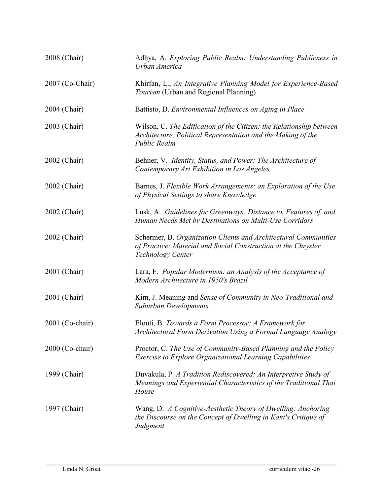| 2008 (Chair)    | Adhya, A. Exploring Public Realm: Understanding Publicness in<br>Urban America                                                                               |
|-----------------|--------------------------------------------------------------------------------------------------------------------------------------------------------------|
| 2007 (Co-Chair) | Khirfan, L., An Integrative Planning Model for Experience-Based<br>Tourism (Urban and Regional Planning)                                                     |
| 2004 (Chair)    | Battisto, D. Environmental Influences on Aging in Place                                                                                                      |
| 2003 (Chair)    | Wilson, C. The Edification of the Citizen: the Relationship between<br>Architecture, Political Representation and the Making of the<br><b>Public Realm</b>   |
| 2002 (Chair)    | Behner, V. Identity, Status, and Power: The Architecture of<br>Contemporary Art Exhibition in Los Angeles                                                    |
| 2002 (Chair)    | Barnes, J. Flexible Work Arrangements: an Exploration of the Use<br>of Physical Settings to share Knowledge                                                  |
| 2002 (Chair)    | Lusk, A. Guidelines for Greenways: Distance to, Features of, and<br>Human Needs Met by Destinations on Multi-Use Corridors                                   |
| 2002 (Chair)    | Schermer, B. Organization Clients and Architectural Communities<br>of Practice: Material and Social Construction at the Chrysler<br><b>Technology Center</b> |
| 2001 (Chair)    | Lara, F. Popular Modernism: an Analysis of the Acceptance of<br>Modern Architecture in 1950's Brazil                                                         |
| 2001 (Chair)    | Kim, J. Meaning and Sense of Community in Neo-Traditional and<br><b>Suburban Developments</b>                                                                |
| 2001 (Co-chair) | Elouti, B. Towards a Form Processor: A Framework for<br>Architectural Form Derivation Using a Formal Language Analogy                                        |
| 2000 (Co-chair) | Proctor, C. The Use of Community-Based Planning and the Policy<br><b>Exercise to Explore Organizational Learning Capabilities</b>                            |
| 1999 (Chair)    | Duvakula, P. A Tradition Rediscovered: An Interpretive Study of<br>Meanings and Experiential Characteristics of the Traditional Thai<br>House                |
| 1997 (Chair)    | Wang, D. A Cognitive-Aesthetic Theory of Dwelling: Anchoring<br>the Discourse on the Concept of Dwelling in Kant's Critique of<br>Judgment                   |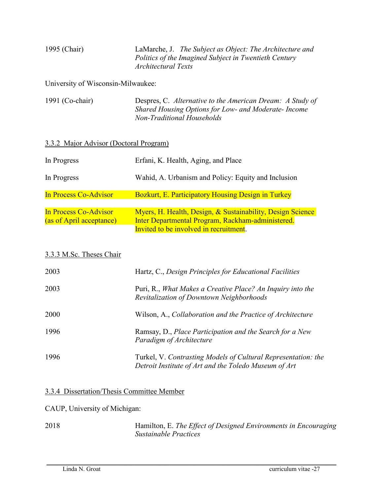| 1995 (Chair) | LaMarche, J. The Subject as Object: The Architecture and<br>Politics of the Imagined Subject in Twentieth Century<br>Architectural Texts |
|--------------|------------------------------------------------------------------------------------------------------------------------------------------|
|              |                                                                                                                                          |

University of Wisconsin-Milwaukee:

| 1991 (Co-chair) | Despres, C. Alternative to the American Dream: A Study of |
|-----------------|-----------------------------------------------------------|
|                 | Shared Housing Options for Low- and Moderate- Income      |
|                 | Non-Traditional Households                                |

## 3.3.2 Major Advisor (Doctoral Program)

| In Progress              | Erfani, K. Health, Aging, and Place                                                         |
|--------------------------|---------------------------------------------------------------------------------------------|
| In Progress              | Wahid, A. Urbanism and Policy: Equity and Inclusion                                         |
| In Process Co-Advisor    | <b>Bozkurt, E. Participatory Housing Design in Turkey</b>                                   |
| In Process Co-Advisor    | Myers, H. Health, Design, & Sustainability, Design Science                                  |
| (as of April acceptance) | Inter Departmental Program, Rackham-administered.<br>Invited to be involved in recruitment. |

#### 3.3.3 M.Sc. Theses Chair

| 2003 | Hartz, C., Design Principles for Educational Facilities                                                                |
|------|------------------------------------------------------------------------------------------------------------------------|
| 2003 | Puri, R., What Makes a Creative Place? An Inquiry into the<br>Revitalization of Downtown Neighborhoods                 |
| 2000 | Wilson, A., Collaboration and the Practice of Architecture                                                             |
| 1996 | Ramsay, D., Place Participation and the Search for a New<br>Paradigm of Architecture                                   |
| 1996 | Turkel, V. Contrasting Models of Cultural Representation: the<br>Detroit Institute of Art and the Toledo Museum of Art |

#### 3.3.4 Dissertation/Thesis Committee Member

#### CAUP, University of Michigan:

2018 Hamilton, E. *The Effect of Designed Environments in Encouraging Sustainable Practices*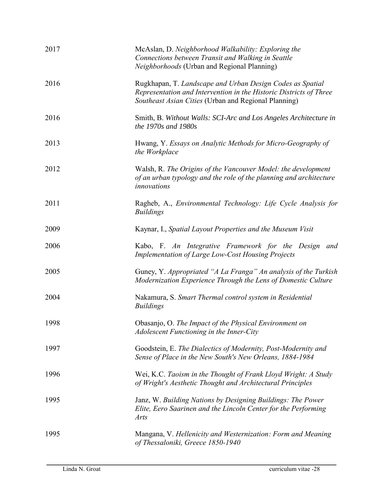| 2017 | McAslan, D. Neighborhood Walkability: Exploring the<br>Connections between Transit and Walking in Seattle<br>Neighborhoods (Urban and Regional Planning)                                |
|------|-----------------------------------------------------------------------------------------------------------------------------------------------------------------------------------------|
| 2016 | Rugkhapan, T. Landscape and Urban Design Codes as Spatial<br>Representation and Intervention in the Historic Districts of Three<br>Southeast Asian Cities (Urban and Regional Planning) |
| 2016 | Smith, B. Without Walls: SCI-Arc and Los Angeles Architecture in<br>the 1970s and 1980s                                                                                                 |
| 2013 | Hwang, Y. Essays on Analytic Methods for Micro-Geography of<br>the Workplace                                                                                                            |
| 2012 | Walsh, R. The Origins of the Vancouver Model: the development<br>of an urban typology and the role of the planning and architecture<br>innovations                                      |
| 2011 | Ragheb, A., Environmental Technology: Life Cycle Analysis for<br><b>Buildings</b>                                                                                                       |
| 2009 | Kaynar, I., Spatial Layout Properties and the Museum Visit                                                                                                                              |
| 2006 | Kabo, F. An Integrative Framework for the Design and<br><b>Implementation of Large Low-Cost Housing Projects</b>                                                                        |
| 2005 | Guney, Y. Appropriated "A La Franga" An analysis of the Turkish<br>Modernization Experience Through the Lens of Domestic Culture                                                        |
| 2004 | Nakamura, S. Smart Thermal control system in Residential<br><b>Buildings</b>                                                                                                            |
| 1998 | Obasanjo, O. The Impact of the Physical Environment on<br>Adolescent Functioning in the Inner-City                                                                                      |
| 1997 | Goodstein, E. The Dialectics of Modernity, Post-Modernity and<br>Sense of Place in the New South's New Orleans, 1884-1984                                                               |
| 1996 | Wei, K.C. Taoism in the Thought of Frank Lloyd Wright: A Study<br>of Wright's Aesthetic Thought and Architectural Principles                                                            |
| 1995 | Janz, W. Building Nations by Designing Buildings: The Power<br>Elite, Eero Saarinen and the Lincoln Center for the Performing<br><b>Arts</b>                                            |
| 1995 | Mangana, V. Hellenicity and Westernization: Form and Meaning<br>of Thessaloniki, Greece 1850-1940                                                                                       |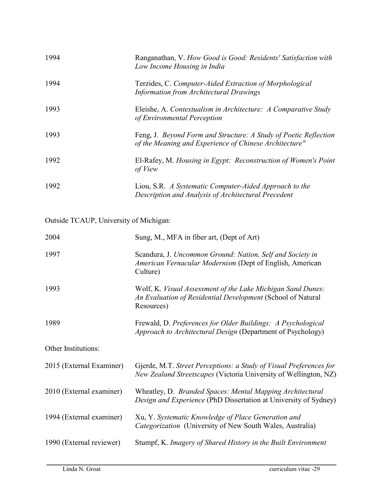| 1994                                   | Ranganathan, V. How Good is Good: Residents' Satisfaction with<br>Low Income Housing in India                                            |
|----------------------------------------|------------------------------------------------------------------------------------------------------------------------------------------|
| 1994                                   | Terzides, C. Computer-Aided Extraction of Morphological<br><b>Information from Architectural Drawings</b>                                |
| 1993                                   | Eleishe, A. Contextualism in Architecture: A Comparative Study<br>of Environmental Perception                                            |
| 1993                                   | Feng, J. Beyond Form and Structure: A Study of Poetic Reflection<br>of the Meaning and Experience of Chinese Architecture"               |
| 1992                                   | El-Rafey, M. Housing in Egypt: Reconstruction of Women's Point<br>of View                                                                |
| 1992                                   | Liou, S.R. A Systematic Computer-Aided Approach to the<br>Description and Analysis of Architectural Precedent                            |
| Outside TCAUP, University of Michigan: |                                                                                                                                          |
| 2004                                   | Sung, M., MFA in fiber art, (Dept of Art)                                                                                                |
| 1997                                   | Scandura, J. Uncommon Ground: Nation, Self and Society in<br>American Vernacular Modernism (Dept of English, American<br>Culture)        |
| 1993                                   | Wolf, K. Visual Assessment of the Lake Michigan Sand Dunes:<br>An Evaluation of Residential Development (School of Natural<br>Resources) |
| 1989                                   | Frewald, D. Preferences for Older Buildings: A Psychological<br><i>Approach to Architectural Design</i> (Department of Psychology)       |
| Other Institutions:                    |                                                                                                                                          |
| 2015 (External Examiner)               | Gjerde, M.T. Street Perceptions: a Study of Visual Preferences for<br>New Zealand Streetscapes (Victoria University of Wellington, NZ)   |
| 2010 (External examiner)               | Wheatley, D. Branded Spaces: Mental Mapping Architectural<br>Design and Experience (PhD Dissertation at University of Sydney)            |
| 1994 (External examiner)               | Xu, Y. Systematic Knowledge of Place Generation and<br>Categorization (University of New South Wales, Australia)                         |
| 1990 (External reviewer)               | Stumpf, K. Imagery of Shared History in the Built Environment                                                                            |
|                                        |                                                                                                                                          |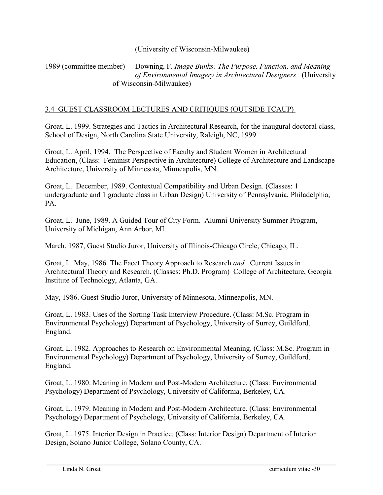#### (University of Wisconsin-Milwaukee)

#### 1989 (committee member) Downing, F. *Image Bunks: The Purpose, Function, and Meaning of Environmental Imagery in Architectural Designers* (University of Wisconsin-Milwaukee)

#### 3.4 GUEST CLASSROOM LECTURES AND CRITIQUES (OUTSIDE TCAUP)

Groat, L. 1999. Strategies and Tactics in Architectural Research, for the inaugural doctoral class, School of Design, North Carolina State University, Raleigh, NC, 1999.

Groat, L. April, 1994. The Perspective of Faculty and Student Women in Architectural Education, (Class: Feminist Perspective in Architecture) College of Architecture and Landscape Architecture, University of Minnesota, Minneapolis, MN.

Groat, L. December, 1989. Contextual Compatibility and Urban Design. (Classes: 1 undergraduate and 1 graduate class in Urban Design) University of Pennsylvania, Philadelphia, PA.

Groat, L. June, 1989. A Guided Tour of City Form. Alumni University Summer Program, University of Michigan, Ann Arbor, MI.

March, 1987, Guest Studio Juror, University of Illinois-Chicago Circle, Chicago, IL.

Groat, L. May, 1986. The Facet Theory Approach to Research *and* Current Issues in Architectural Theory and Research. (Classes: Ph.D. Program) College of Architecture, Georgia Institute of Technology, Atlanta, GA.

May, 1986. Guest Studio Juror, University of Minnesota, Minneapolis, MN.

Groat, L. 1983. Uses of the Sorting Task Interview Procedure. (Class: M.Sc. Program in Environmental Psychology) Department of Psychology, University of Surrey, Guildford, England.

Groat, L. 1982. Approaches to Research on Environmental Meaning. (Class: M.Sc. Program in Environmental Psychology) Department of Psychology, University of Surrey, Guildford, England.

Groat, L. 1980. Meaning in Modern and Post-Modern Architecture. (Class: Environmental Psychology) Department of Psychology, University of California, Berkeley, CA.

Groat, L. 1979. Meaning in Modern and Post-Modern Architecture. (Class: Environmental Psychology) Department of Psychology, University of California, Berkeley, CA.

Groat, L. 1975. Interior Design in Practice. (Class: Interior Design) Department of Interior Design, Solano Junior College, Solano County, CA.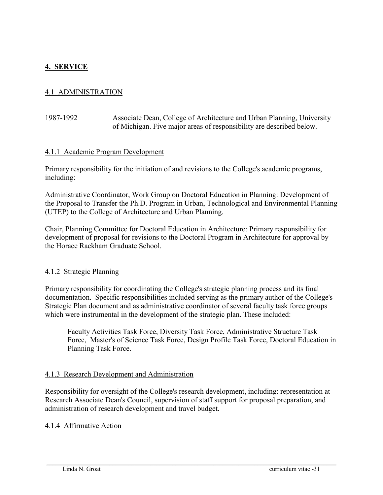## **4. SERVICE**

### 4.1 ADMINISTRATION

#### 1987-1992 Associate Dean, College of Architecture and Urban Planning, University of Michigan. Five major areas of responsibility are described below.

#### 4.1.1 Academic Program Development

Primary responsibility for the initiation of and revisions to the College's academic programs, including:

Administrative Coordinator, Work Group on Doctoral Education in Planning: Development of the Proposal to Transfer the Ph.D. Program in Urban, Technological and Environmental Planning (UTEP) to the College of Architecture and Urban Planning.

Chair, Planning Committee for Doctoral Education in Architecture: Primary responsibility for development of proposal for revisions to the Doctoral Program in Architecture for approval by the Horace Rackham Graduate School.

#### 4.1.2 Strategic Planning

Primary responsibility for coordinating the College's strategic planning process and its final documentation. Specific responsibilities included serving as the primary author of the College's Strategic Plan document and as administrative coordinator of several faculty task force groups which were instrumental in the development of the strategic plan. These included:

Faculty Activities Task Force, Diversity Task Force, Administrative Structure Task Force, Master's of Science Task Force, Design Profile Task Force, Doctoral Education in Planning Task Force.

#### 4.1.3 Research Development and Administration

Responsibility for oversight of the College's research development, including: representation at Research Associate Dean's Council, supervision of staff support for proposal preparation, and administration of research development and travel budget.

 $\_$  . The contribution of the contribution of the contribution of the contribution of the contribution of the contribution of the contribution of the contribution of the contribution of the contribution of the contributio

#### 4.1.4 Affirmative Action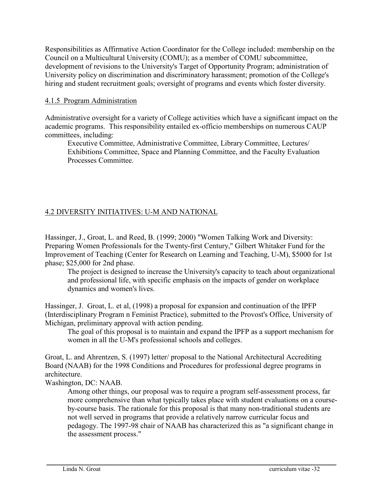Responsibilities as Affirmative Action Coordinator for the College included: membership on the Council on a Multicultural University (COMU); as a member of COMU subcommittee, development of revisions to the University's Target of Opportunity Program; administration of University policy on discrimination and discriminatory harassment; promotion of the College's hiring and student recruitment goals; oversight of programs and events which foster diversity.

#### 4.1.5 Program Administration

Administrative oversight for a variety of College activities which have a significant impact on the academic programs. This responsibility entailed ex-officio memberships on numerous CAUP committees, including:

Executive Committee, Administrative Committee, Library Committee, Lectures/ Exhibitions Committee, Space and Planning Committee, and the Faculty Evaluation Processes Committee.

# 4.2 DIVERSITY INITIATIVES: U-M AND NATIONAL

Hassinger, J., Groat, L. and Reed, B. (1999; 2000) "Women Talking Work and Diversity: Preparing Women Professionals for the Twenty-first Century," Gilbert Whitaker Fund for the Improvement of Teaching (Center for Research on Learning and Teaching, U-M), \$5000 for 1st phase; \$25,000 for 2nd phase.

The project is designed to increase the University's capacity to teach about organizational and professional life, with specific emphasis on the impacts of gender on workplace dynamics and women's lives.

Hassinger, J. Groat, L. et al, (1998) a proposal for expansion and continuation of the IPFP (Interdisciplinary Program n Feminist Practice), submitted to the Provost's Office, University of Michigan, preliminary approval with action pending.

The goal of this proposal is to maintain and expand the IPFP as a support mechanism for women in all the U-M's professional schools and colleges.

Groat, L. and Ahrentzen, S. (1997) letter/ proposal to the National Architectural Accrediting Board (NAAB) for the 1998 Conditions and Procedures for professional degree programs in architecture.

Washington, DC: NAAB.

Among other things, our proposal was to require a program self-assessment process, far more comprehensive than what typically takes place with student evaluations on a courseby-course basis. The rationale for this proposal is that many non-traditional students are not well served in programs that provide a relatively narrow curricular focus and pedagogy. The 1997-98 chair of NAAB has characterized this as "a significant change in the assessment process."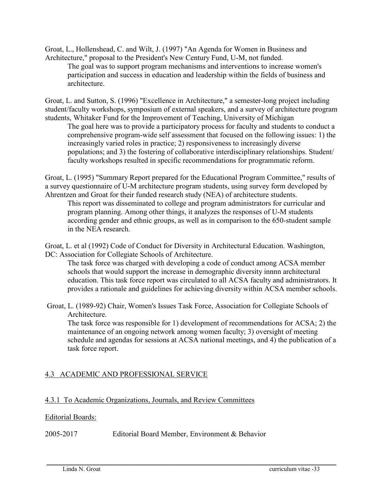Groat, L., Hollenshead, C. and Wilt, J. (1997) "An Agenda for Women in Business and Architecture," proposal to the President's New Century Fund, U-M, not funded.

The goal was to support program mechanisms and interventions to increase women's participation and success in education and leadership within the fields of business and architecture.

Groat, L. and Sutton, S. (1996) "Excellence in Architecture," a semester-long project including student/faculty workshops, symposium of external speakers, and a survey of architecture program students, Whitaker Fund for the Improvement of Teaching, University of Michigan

The goal here was to provide a participatory process for faculty and students to conduct a comprehensive program-wide self assessment that focused on the following issues: 1) the increasingly varied roles in practice; 2) responsiveness to increasingly diverse populations; and 3) the fostering of collaborative interdisciplinary relationships. Student/ faculty workshops resulted in specific recommendations for programmatic reform.

Groat, L. (1995) "Summary Report prepared for the Educational Program Committee," results of a survey questionnaire of U-M architecture program students, using survey form developed by Ahrentzen and Groat for their funded research study (NEA) of architecture students.

This report was disseminated to college and program administrators for curricular and program planning. Among other things, it analyzes the responses of U-M students according gender and ethnic groups, as well as in comparison to the 650-student sample in the NEA research.

Groat, L. et al (1992) Code of Conduct for Diversity in Architectural Education. Washington, DC: Association for Collegiate Schools of Architecture.

The task force was charged with developing a code of conduct among ACSA member schools that would support the increase in demographic diversity innnn architectural education. This task force report was circulated to all ACSA faculty and administrators. It provides a rationale and guidelines for achieving diversity within ACSA member schools.

Groat, L. (1989-92) Chair, Women's Issues Task Force, Association for Collegiate Schools of Architecture.

 $\_$  . The contribution of the contribution of the contribution of the contribution of the contribution of the contribution of the contribution of the contribution of the contribution of the contribution of the contributio

The task force was responsible for 1) development of recommendations for ACSA; 2) the maintenance of an ongoing network among women faculty; 3) oversight of meeting schedule and agendas for sessions at ACSA national meetings, and 4) the publication of a task force report.

# 4.3 ACADEMIC AND PROFESSIONAL SERVICE

### 4.3.1 To Academic Organizations, Journals, and Review Committees

### Editorial Boards:

2005-2017 Editorial Board Member, Environment & Behavior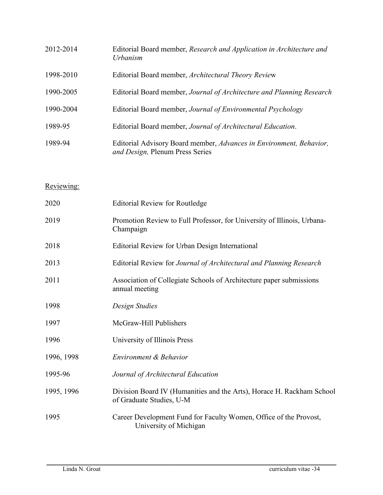| 2012-2014 | Editorial Board member, Research and Application in Architecture and<br>Urbanism                       |
|-----------|--------------------------------------------------------------------------------------------------------|
| 1998-2010 | Editorial Board member, Architectural Theory Review                                                    |
| 1990-2005 | Editorial Board member, Journal of Architecture and Planning Research                                  |
| 1990-2004 | Editorial Board member, Journal of Environmental Psychology                                            |
| 1989-95   | Editorial Board member, Journal of Architectural Education.                                            |
| 1989-94   | Editorial Advisory Board member, Advances in Environment, Behavior,<br>and Design, Plenum Press Series |

# Reviewing:

| 2020       | <b>Editorial Review for Routledge</b>                                                             |
|------------|---------------------------------------------------------------------------------------------------|
| 2019       | Promotion Review to Full Professor, for University of Illinois, Urbana-<br>Champaign              |
| 2018       | Editorial Review for Urban Design International                                                   |
| 2013       | Editorial Review for Journal of Architectural and Planning Research                               |
| 2011       | Association of Collegiate Schools of Architecture paper submissions<br>annual meeting             |
| 1998       | Design Studies                                                                                    |
| 1997       | McGraw-Hill Publishers                                                                            |
| 1996       | University of Illinois Press                                                                      |
| 1996, 1998 | Environment & Behavior                                                                            |
| 1995-96    | Journal of Architectural Education                                                                |
| 1995, 1996 | Division Board IV (Humanities and the Arts), Horace H. Rackham School<br>of Graduate Studies, U-M |
| 1995       | Career Development Fund for Faculty Women, Office of the Provost,<br>University of Michigan       |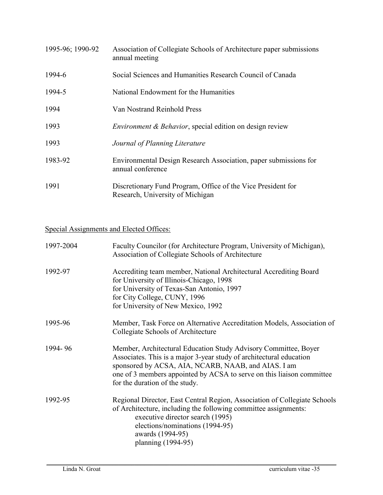| 1995-96; 1990-92 | Association of Collegiate Schools of Architecture paper submissions<br>annual meeting            |
|------------------|--------------------------------------------------------------------------------------------------|
| 1994-6           | Social Sciences and Humanities Research Council of Canada                                        |
| 1994-5           | National Endowment for the Humanities                                                            |
| 1994             | Van Nostrand Reinhold Press                                                                      |
| 1993             | Environment & Behavior, special edition on design review                                         |
| 1993             | Journal of Planning Literature                                                                   |
| 1983-92          | Environmental Design Research Association, paper submissions for<br>annual conference            |
| 1991             | Discretionary Fund Program, Office of the Vice President for<br>Research, University of Michigan |

# Special Assignments and Elected Offices:

| 1997-2004 | Faculty Councilor (for Architecture Program, University of Michigan),<br>Association of Collegiate Schools of Architecture                                                                                                                                                                               |
|-----------|----------------------------------------------------------------------------------------------------------------------------------------------------------------------------------------------------------------------------------------------------------------------------------------------------------|
| 1992-97   | Accrediting team member, National Architectural Accrediting Board<br>for University of Illinois-Chicago, 1998<br>for University of Texas-San Antonio, 1997<br>for City College, CUNY, 1996<br>for University of New Mexico, 1992                                                                         |
| 1995-96   | Member, Task Force on Alternative Accreditation Models, Association of<br>Collegiate Schools of Architecture                                                                                                                                                                                             |
| 1994-96   | Member, Architectural Education Study Advisory Committee, Boyer<br>Associates. This is a major 3-year study of architectural education<br>sponsored by ACSA, AIA, NCARB, NAAB, and AIAS. I am<br>one of 3 members appointed by ACSA to serve on this liaison committee<br>for the duration of the study. |
| 1992-95   | Regional Director, East Central Region, Association of Collegiate Schools<br>of Architecture, including the following committee assignments:<br>executive director search (1995)<br>elections/nominations (1994-95)<br>awards (1994-95)<br>planning (1994-95)                                            |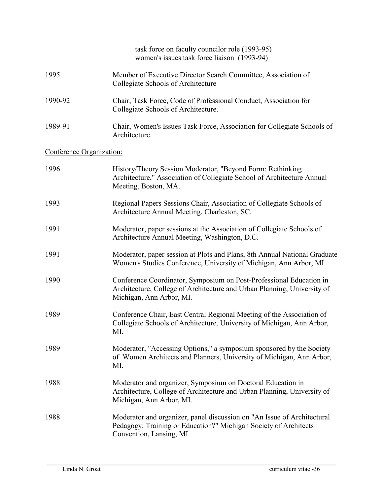|                          | task force on faculty councilor role (1993-95)<br>women's issues task force liaison (1993-94)                                                                              |
|--------------------------|----------------------------------------------------------------------------------------------------------------------------------------------------------------------------|
| 1995                     | Member of Executive Director Search Committee, Association of<br>Collegiate Schools of Architecture                                                                        |
| 1990-92                  | Chair, Task Force, Code of Professional Conduct, Association for<br>Collegiate Schools of Architecture.                                                                    |
| 1989-91                  | Chair, Women's Issues Task Force, Association for Collegiate Schools of<br>Architecture.                                                                                   |
| Conference Organization: |                                                                                                                                                                            |
| 1996                     | History/Theory Session Moderator, "Beyond Form: Rethinking<br>Architecture," Association of Collegiate School of Architecture Annual<br>Meeting, Boston, MA.               |
| 1993                     | Regional Papers Sessions Chair, Association of Collegiate Schools of<br>Architecture Annual Meeting, Charleston, SC.                                                       |
| 1991                     | Moderator, paper sessions at the Association of Collegiate Schools of<br>Architecture Annual Meeting, Washington, D.C.                                                     |
| 1991                     | Moderator, paper session at Plots and Plans, 8th Annual National Graduate<br>Women's Studies Conference, University of Michigan, Ann Arbor, MI.                            |
| 1990                     | Conference Coordinator, Symposium on Post-Professional Education in<br>Architecture, College of Architecture and Urban Planning, University of<br>Michigan, Ann Arbor, MI. |
| 1989                     | Conference Chair, East Central Regional Meeting of the Association of<br>Collegiate Schools of Architecture, University of Michigan, Ann Arbor,<br>MI.                     |
| 1989                     | Moderator, "Accessing Options," a symposium sponsored by the Society<br>of Women Architects and Planners, University of Michigan, Ann Arbor,<br>MI.                        |
| 1988                     | Moderator and organizer, Symposium on Doctoral Education in<br>Architecture, College of Architecture and Urban Planning, University of<br>Michigan, Ann Arbor, MI.         |
| 1988                     | Moderator and organizer, panel discussion on "An Issue of Architectural<br>Pedagogy: Training or Education?" Michigan Society of Architects<br>Convention, Lansing, MI.    |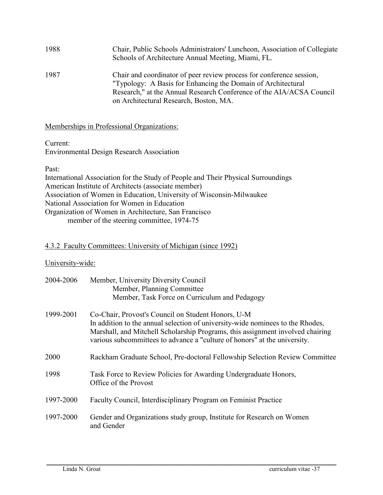| 1988 | Chair, Public Schools Administrators' Luncheon, Association of Collegiate<br>Schools of Architecture Annual Meeting, Miami, FL.                                                                                                                        |
|------|--------------------------------------------------------------------------------------------------------------------------------------------------------------------------------------------------------------------------------------------------------|
| 1987 | Chair and coordinator of peer review process for conference session,<br>"Typology: A Basis for Enhancing the Domain of Architectural<br>Research," at the Annual Research Conference of the AIA/ACSA Council<br>on Architectural Research, Boston, MA. |

Memberships in Professional Organizations:

Current:

Environmental Design Research Association

Past:

International Association for the Study of People and Their Physical Surroundings American Institute of Architects (associate member) Association of Women in Education, University of Wisconsin-Milwaukee National Association for Women in Education Organization of Women in Architecture, San Francisco member of the steering committee, 1974-75

### 4.3.2 Faculty Committees: University of Michigan (since 1992)

### University-wide:

| 2004-2006 | Member, University Diversity Council<br>Member, Planning Committee<br>Member, Task Force on Curriculum and Pedagogy                                                                                                                                                                                 |
|-----------|-----------------------------------------------------------------------------------------------------------------------------------------------------------------------------------------------------------------------------------------------------------------------------------------------------|
| 1999-2001 | Co-Chair, Provost's Council on Student Honors, U-M<br>In addition to the annual selection of university-wide nominees to the Rhodes,<br>Marshall, and Mitchell Scholarship Programs, this assignment involved chairing<br>various subcommittees to advance a "culture of honors" at the university. |
| 2000      | Rackham Graduate School, Pre-doctoral Fellowship Selection Review Committee                                                                                                                                                                                                                         |
| 1998      | Task Force to Review Policies for Awarding Undergraduate Honors,<br>Office of the Provost                                                                                                                                                                                                           |
| 1997-2000 | Faculty Council, Interdisciplinary Program on Feminist Practice                                                                                                                                                                                                                                     |
| 1997-2000 | Gender and Organizations study group, Institute for Research on Women<br>and Gender                                                                                                                                                                                                                 |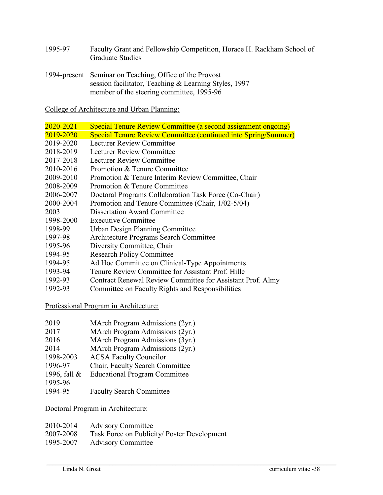- 1995-97 Faculty Grant and Fellowship Competition, Horace H. Rackham School of Graduate Studies
- 1994-present Seminar on Teaching, Office of the Provost session facilitator, Teaching & Learning Styles, 1997 member of the steering committee, 1995-96

College of Architecture and Urban Planning:

| 2020-2021 | Special Tenure Review Committee (a second assignment ongoing)         |
|-----------|-----------------------------------------------------------------------|
| 2019-2020 | <b>Special Tenure Review Committee (continued into Spring/Summer)</b> |
| 2019-2020 | Lecturer Review Committee                                             |
| 2018-2019 | Lecturer Review Committee                                             |
| 2017-2018 | Lecturer Review Committee                                             |
| 2010-2016 | Promotion & Tenure Committee                                          |
| 2009-2010 | Promotion & Tenure Interim Review Committee, Chair                    |
| 2008-2009 | Promotion & Tenure Committee                                          |
| 2006-2007 | Doctoral Programs Collaboration Task Force (Co-Chair)                 |
| 2000-2004 | Promotion and Tenure Committee (Chair, 1/02-5/04)                     |
| 2003      | <b>Dissertation Award Committee</b>                                   |
| 1998-2000 | <b>Executive Committee</b>                                            |
| 1998-99   | <b>Urban Design Planning Committee</b>                                |
| 1997-98   | Architecture Programs Search Committee                                |
| 1995-96   | Diversity Committee, Chair                                            |
| 1994-95   | <b>Research Policy Committee</b>                                      |
| 1994-95   | Ad Hoc Committee on Clinical-Type Appointments                        |
| 1993-94   | Tenure Review Committee for Assistant Prof. Hille                     |
| 1992-93   | Contract Renewal Review Committee for Assistant Prof. Almy            |
| 1992-93   | Committee on Faculty Rights and Responsibilities                      |

Professional Program in Architecture:

| 2019                 | MArch Program Admissions (2yr.) |  |
|----------------------|---------------------------------|--|
| $\sim$ $\sim$ $\sim$ |                                 |  |

- 2017 MArch Program Admissions (2yr.)
- 2016 MArch Program Admissions (3yr.)
- 2014 MArch Program Admissions (2yr.)
- 1998-2003 ACSA Faculty Councilor
- 1996-97 Chair, Faculty Search Committee
- 1996, fall & Educational Program Committee
- 1995-96
- 1994-95 Faculty Search Committee

Doctoral Program in Architecture:

| 2010-2014 | <b>Advisory Committee</b>                   |
|-----------|---------------------------------------------|
| 2007-2008 | Task Force on Publicity/ Poster Development |
| 1995-2007 | <b>Advisory Committee</b>                   |